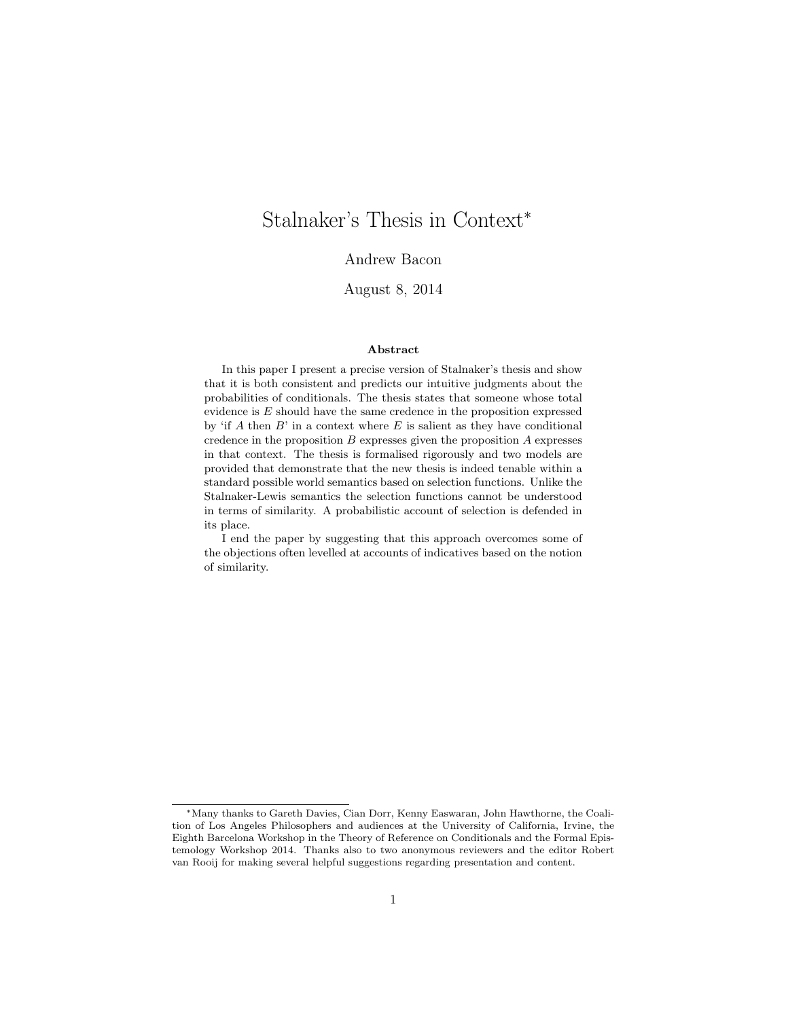# Stalnaker's Thesis in Context<sup>∗</sup>

#### Andrew Bacon

#### August 8, 2014

#### Abstract

In this paper I present a precise version of Stalnaker's thesis and show that it is both consistent and predicts our intuitive judgments about the probabilities of conditionals. The thesis states that someone whose total evidence is E should have the same credence in the proposition expressed by 'if  $A$  then  $B$ ' in a context where  $E$  is salient as they have conditional credence in the proposition  $B$  expresses given the proposition  $A$  expresses in that context. The thesis is formalised rigorously and two models are provided that demonstrate that the new thesis is indeed tenable within a standard possible world semantics based on selection functions. Unlike the Stalnaker-Lewis semantics the selection functions cannot be understood in terms of similarity. A probabilistic account of selection is defended in its place.

I end the paper by suggesting that this approach overcomes some of the objections often levelled at accounts of indicatives based on the notion of similarity.

<sup>∗</sup>Many thanks to Gareth Davies, Cian Dorr, Kenny Easwaran, John Hawthorne, the Coalition of Los Angeles Philosophers and audiences at the University of California, Irvine, the Eighth Barcelona Workshop in the Theory of Reference on Conditionals and the Formal Epistemology Workshop 2014. Thanks also to two anonymous reviewers and the editor Robert van Rooij for making several helpful suggestions regarding presentation and content.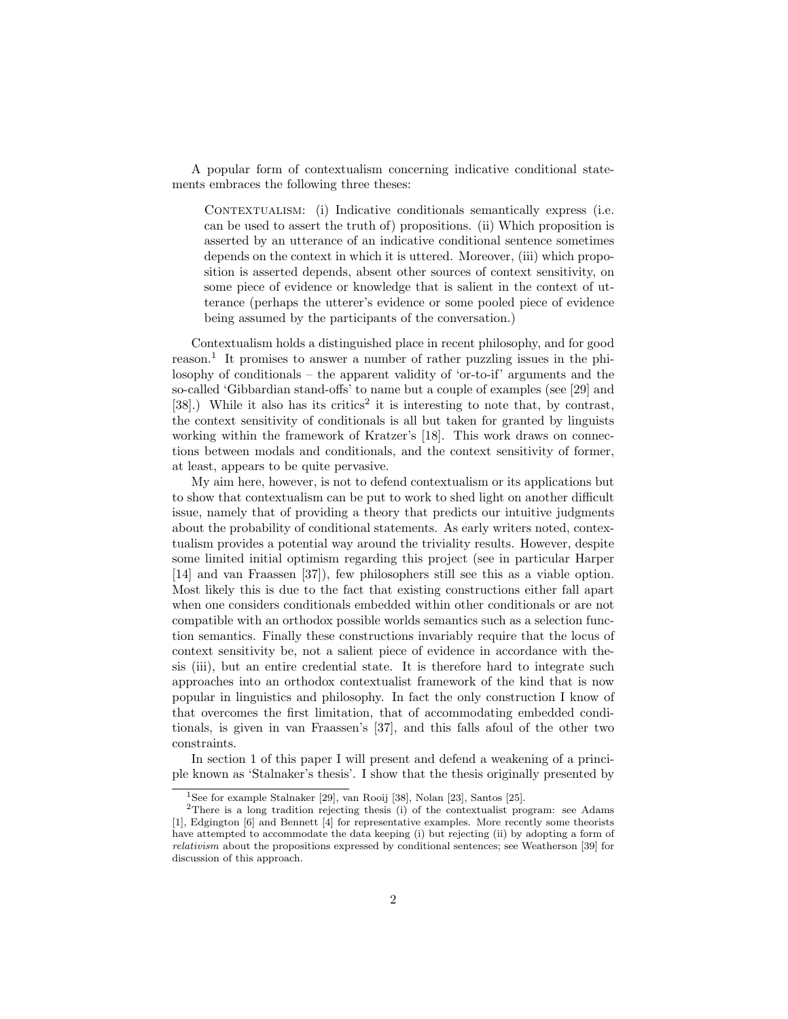A popular form of contextualism concerning indicative conditional statements embraces the following three theses:

CONTEXTUALISM: (i) Indicative conditionals semantically express (i.e. can be used to assert the truth of) propositions. (ii) Which proposition is asserted by an utterance of an indicative conditional sentence sometimes depends on the context in which it is uttered. Moreover, (iii) which proposition is asserted depends, absent other sources of context sensitivity, on some piece of evidence or knowledge that is salient in the context of utterance (perhaps the utterer's evidence or some pooled piece of evidence being assumed by the participants of the conversation.)

Contextualism holds a distinguished place in recent philosophy, and for good reason.<sup>1</sup> It promises to answer a number of rather puzzling issues in the philosophy of conditionals – the apparent validity of 'or-to-if' arguments and the so-called 'Gibbardian stand-offs' to name but a couple of examples (see [29] and  $[38]$ .) While it also has its critics<sup>2</sup> it is interesting to note that, by contrast, the context sensitivity of conditionals is all but taken for granted by linguists working within the framework of Kratzer's [18]. This work draws on connections between modals and conditionals, and the context sensitivity of former, at least, appears to be quite pervasive.

My aim here, however, is not to defend contextualism or its applications but to show that contextualism can be put to work to shed light on another difficult issue, namely that of providing a theory that predicts our intuitive judgments about the probability of conditional statements. As early writers noted, contextualism provides a potential way around the triviality results. However, despite some limited initial optimism regarding this project (see in particular Harper [14] and van Fraassen [37]), few philosophers still see this as a viable option. Most likely this is due to the fact that existing constructions either fall apart when one considers conditionals embedded within other conditionals or are not compatible with an orthodox possible worlds semantics such as a selection function semantics. Finally these constructions invariably require that the locus of context sensitivity be, not a salient piece of evidence in accordance with thesis (iii), but an entire credential state. It is therefore hard to integrate such approaches into an orthodox contextualist framework of the kind that is now popular in linguistics and philosophy. In fact the only construction I know of that overcomes the first limitation, that of accommodating embedded conditionals, is given in van Fraassen's [37], and this falls afoul of the other two constraints.

In section 1 of this paper I will present and defend a weakening of a principle known as 'Stalnaker's thesis'. I show that the thesis originally presented by

<sup>1</sup>See for example Stalnaker [29], van Rooij [38], Nolan [23], Santos [25].

<sup>2</sup>There is a long tradition rejecting thesis (i) of the contextualist program: see Adams [1], Edgington [6] and Bennett [4] for representative examples. More recently some theorists have attempted to accommodate the data keeping (i) but rejecting (ii) by adopting a form of relativism about the propositions expressed by conditional sentences; see Weatherson [39] for discussion of this approach.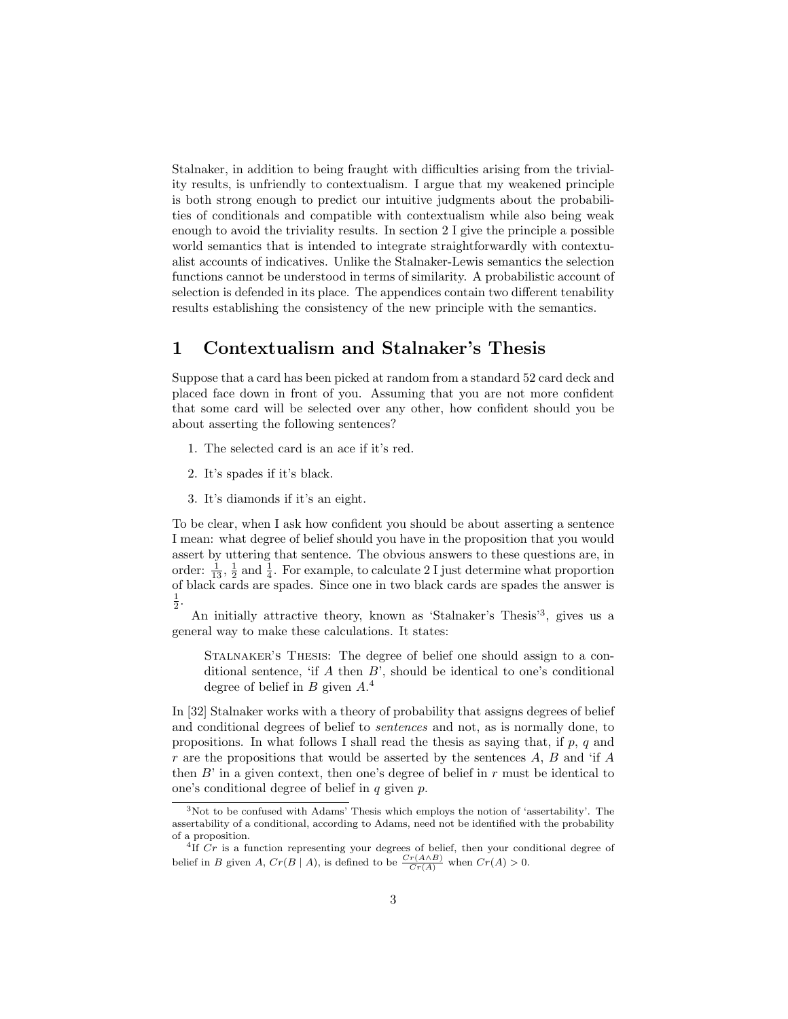Stalnaker, in addition to being fraught with difficulties arising from the triviality results, is unfriendly to contextualism. I argue that my weakened principle is both strong enough to predict our intuitive judgments about the probabilities of conditionals and compatible with contextualism while also being weak enough to avoid the triviality results. In section 2 I give the principle a possible world semantics that is intended to integrate straightforwardly with contextualist accounts of indicatives. Unlike the Stalnaker-Lewis semantics the selection functions cannot be understood in terms of similarity. A probabilistic account of selection is defended in its place. The appendices contain two different tenability results establishing the consistency of the new principle with the semantics.

## 1 Contextualism and Stalnaker's Thesis

Suppose that a card has been picked at random from a standard 52 card deck and placed face down in front of you. Assuming that you are not more confident that some card will be selected over any other, how confident should you be about asserting the following sentences?

- 1. The selected card is an ace if it's red.
- 2. It's spades if it's black.
- 3. It's diamonds if it's an eight.

To be clear, when I ask how confident you should be about asserting a sentence I mean: what degree of belief should you have in the proposition that you would assert by uttering that sentence. The obvious answers to these questions are, in order:  $\frac{1}{13}$ ,  $\frac{1}{2}$  and  $\frac{1}{4}$ . For example, to calculate 2 I just determine what proportion of black cards are spades. Since one in two black cards are spades the answer is  $\frac{1}{2}$ .

An initially attractive theory, known as 'Stalnaker's Thesis'<sup>3</sup> , gives us a general way to make these calculations. It states:

Stalnaker's Thesis: The degree of belief one should assign to a conditional sentence, 'if  $A$  then  $B$ ', should be identical to one's conditional degree of belief in  $B$  given  $A<sup>4</sup>$ 

In [32] Stalnaker works with a theory of probability that assigns degrees of belief and conditional degrees of belief to sentences and not, as is normally done, to propositions. In what follows I shall read the thesis as saying that, if  $p$ ,  $q$  and  $r$  are the propositions that would be asserted by the sentences  $A, B$  and 'if  $A$ then  $B'$  in a given context, then one's degree of belief in r must be identical to one's conditional degree of belief in  $q$  given  $p$ .

<sup>3</sup>Not to be confused with Adams' Thesis which employs the notion of 'assertability'. The assertability of a conditional, according to Adams, need not be identified with the probability of a proposition.

<sup>&</sup>lt;sup>4</sup>If  $Cr$  is a function representing your degrees of belief, then your conditional degree of belief in B given A,  $Cr(B \mid A)$ , is defined to be  $\frac{Cr(A \wedge B)}{Cr(A)}$  when  $Cr(A) > 0$ .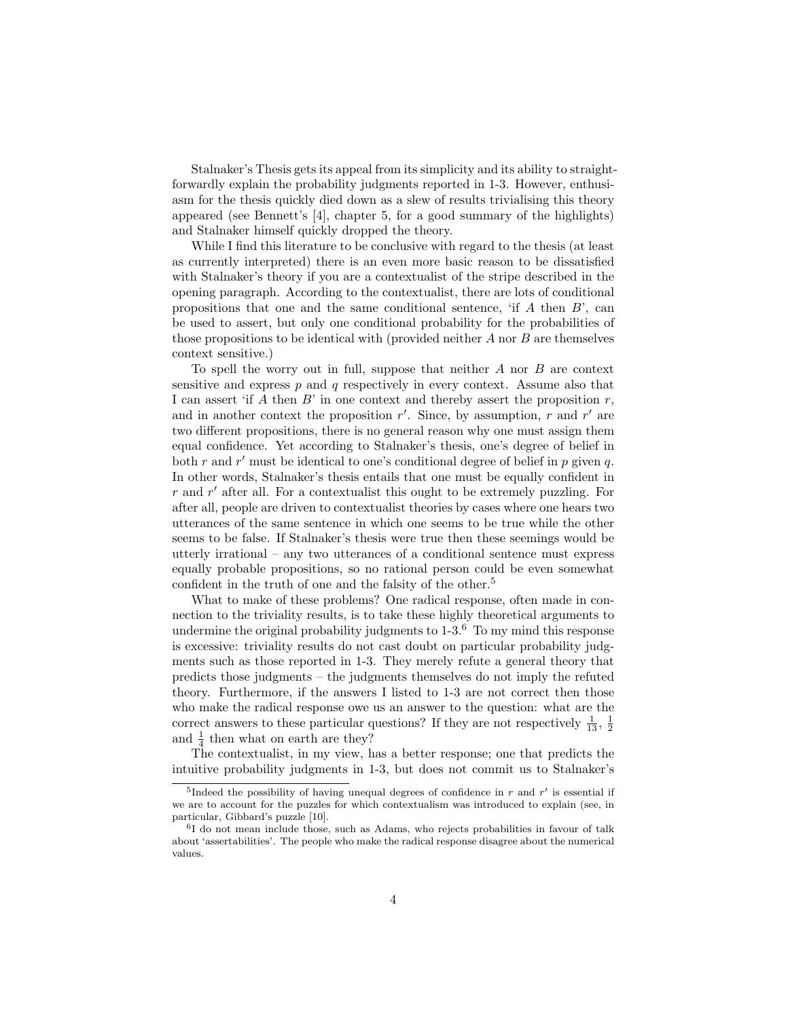Stalnaker's Thesis gets its appeal from its simplicity and its ability to straightforwardly explain the probability judgments reported in 1-3. However, enthusiasm for the thesis quickly died down as a slew of results trivialising this theory appeared (see Bennett's [4], chapter 5, for a good summary of the highlights) and Stalnaker himself quickly dropped the theory.

While I find this literature to be conclusive with regard to the thesis (at least as currently interpreted) there is an even more basic reason to be dissatisfied with Stalnaker's theory if you are a contextualist of the stripe described in the opening paragraph. According to the contextualist, there are lots of conditional propositions that one and the same conditional sentence, 'if  $A$  then  $B$ ', can be used to assert, but only one conditional probability for the probabilities of those propositions to be identical with (provided neither  $A$  nor  $B$  are themselves context sensitive.)

To spell the worry out in full, suppose that neither A nor B are context sensitive and express  $p$  and  $q$  respectively in every context. Assume also that I can assert 'if A then B' in one context and thereby assert the proposition  $r$ , and in another context the proposition  $r'$ . Since, by assumption,  $r$  and  $r'$  are two different propositions, there is no general reason why one must assign them equal confidence. Yet according to Stalnaker's thesis, one's degree of belief in both r and r' must be identical to one's conditional degree of belief in p given q. In other words, Stalnaker's thesis entails that one must be equally confident in  $r$  and  $r'$  after all. For a contextualist this ought to be extremely puzzling. For after all, people are driven to contextualist theories by cases where one hears two utterances of the same sentence in which one seems to be true while the other seems to be false. If Stalnaker's thesis were true then these seemings would be utterly irrational – any two utterances of a conditional sentence must express equally probable propositions, so no rational person could be even somewhat confident in the truth of one and the falsity of the other.<sup>5</sup>

What to make of these problems? One radical response, often made in connection to the triviality results, is to take these highly theoretical arguments to undermine the original probability judgments to  $1-3.6$  To my mind this response is excessive: triviality results do not cast doubt on particular probability judgments such as those reported in 1-3. They merely refute a general theory that predicts those judgments – the judgments themselves do not imply the refuted theory. Furthermore, if the answers I listed to 1-3 are not correct then those who make the radical response owe us an answer to the question: what are the correct answers to these particular questions? If they are not respectively  $\frac{1}{13}$ ,  $\frac{1}{2}$ and  $\frac{1}{4}$  then what on earth are they?

The contextualist, in my view, has a better response; one that predicts the intuitive probability judgments in 1-3, but does not commit us to Stalnaker's

<sup>&</sup>lt;sup>5</sup>Indeed the possibility of having unequal degrees of confidence in r and r' is essential if we are to account for the puzzles for which contextualism was introduced to explain (see, in particular, Gibbard's puzzle [10].

<sup>6</sup> I do not mean include those, such as Adams, who rejects probabilities in favour of talk about 'assertabilities'. The people who make the radical response disagree about the numerical values.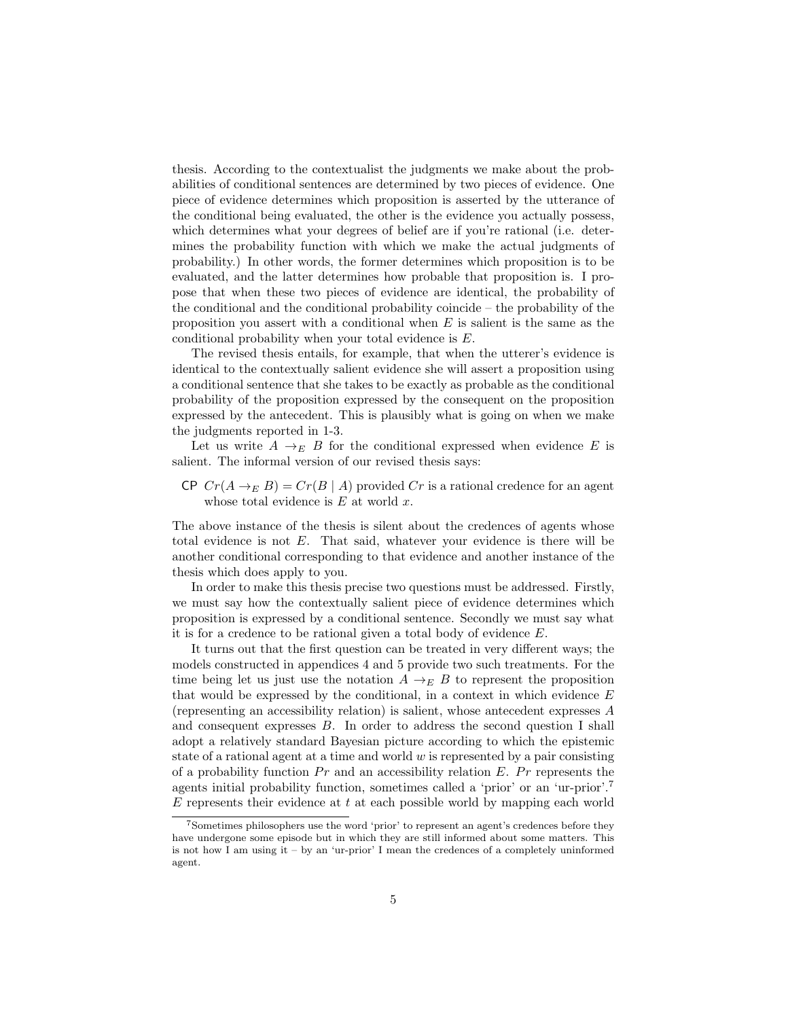thesis. According to the contextualist the judgments we make about the probabilities of conditional sentences are determined by two pieces of evidence. One piece of evidence determines which proposition is asserted by the utterance of the conditional being evaluated, the other is the evidence you actually possess, which determines what your degrees of belief are if you're rational (i.e. determines the probability function with which we make the actual judgments of probability.) In other words, the former determines which proposition is to be evaluated, and the latter determines how probable that proposition is. I propose that when these two pieces of evidence are identical, the probability of the conditional and the conditional probability coincide – the probability of the proposition you assert with a conditional when  $E$  is salient is the same as the conditional probability when your total evidence is E.

The revised thesis entails, for example, that when the utterer's evidence is identical to the contextually salient evidence she will assert a proposition using a conditional sentence that she takes to be exactly as probable as the conditional probability of the proposition expressed by the consequent on the proposition expressed by the antecedent. This is plausibly what is going on when we make the judgments reported in 1-3.

Let us write  $A \to_E B$  for the conditional expressed when evidence E is salient. The informal version of our revised thesis says:

CP  $Cr(A \rightarrow_E B) = Cr(B | A)$  provided Cr is a rational credence for an agent whose total evidence is  $E$  at world  $x$ .

The above instance of the thesis is silent about the credences of agents whose total evidence is not E. That said, whatever your evidence is there will be another conditional corresponding to that evidence and another instance of the thesis which does apply to you.

In order to make this thesis precise two questions must be addressed. Firstly, we must say how the contextually salient piece of evidence determines which proposition is expressed by a conditional sentence. Secondly we must say what it is for a credence to be rational given a total body of evidence E.

It turns out that the first question can be treated in very different ways; the models constructed in appendices 4 and 5 provide two such treatments. For the time being let us just use the notation  $A \rightarrow_E B$  to represent the proposition that would be expressed by the conditional, in a context in which evidence  $E$ (representing an accessibility relation) is salient, whose antecedent expresses A and consequent expresses B. In order to address the second question I shall adopt a relatively standard Bayesian picture according to which the epistemic state of a rational agent at a time and world  $w$  is represented by a pair consisting of a probability function  $Pr$  and an accessibility relation  $E$ .  $Pr$  represents the agents initial probability function, sometimes called a 'prior' or an 'ur-prior'.<sup>7</sup>  $E$  represents their evidence at t at each possible world by mapping each world

<sup>7</sup>Sometimes philosophers use the word 'prior' to represent an agent's credences before they have undergone some episode but in which they are still informed about some matters. This is not how I am using it – by an 'ur-prior' I mean the credences of a completely uninformed agent.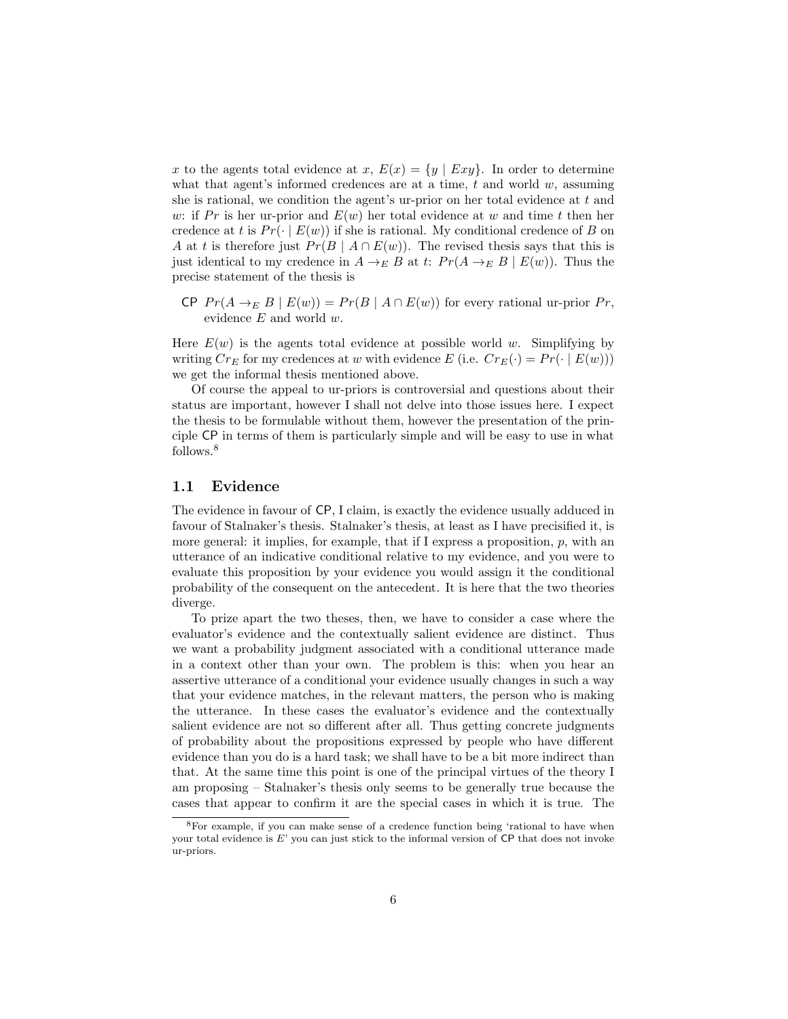x to the agents total evidence at x,  $E(x) = \{y \mid Exy\}$ . In order to determine what that agent's informed credences are at a time,  $t$  and world  $w$ , assuming she is rational, we condition the agent's ur-prior on her total evidence at  $t$  and w: if Pr is her ur-prior and  $E(w)$  her total evidence at w and time t then her credence at t is  $Pr(\cdot | E(w))$  if she is rational. My conditional credence of B on A at t is therefore just  $Pr(B \mid A \cap E(w))$ . The revised thesis says that this is just identical to my credence in  $A \to_E B$  at t:  $Pr(A \to_E B \mid E(w))$ . Thus the precise statement of the thesis is

CP  $Pr(A \rightarrow_E B \mid E(w)) = Pr(B \mid A \cap E(w))$  for every rational ur-prior  $Pr$ , evidence E and world w.

Here  $E(w)$  is the agents total evidence at possible world w. Simplifying by writing  $Cr_E$  for my credences at w with evidence E (i.e.  $Cr_E(\cdot) = Pr(\cdot | E(w))$ ) we get the informal thesis mentioned above.

Of course the appeal to ur-priors is controversial and questions about their status are important, however I shall not delve into those issues here. I expect the thesis to be formulable without them, however the presentation of the principle CP in terms of them is particularly simple and will be easy to use in what follows.<sup>8</sup>

#### 1.1 Evidence

The evidence in favour of CP, I claim, is exactly the evidence usually adduced in favour of Stalnaker's thesis. Stalnaker's thesis, at least as I have precisified it, is more general: it implies, for example, that if I express a proposition,  $p$ , with an utterance of an indicative conditional relative to my evidence, and you were to evaluate this proposition by your evidence you would assign it the conditional probability of the consequent on the antecedent. It is here that the two theories diverge.

To prize apart the two theses, then, we have to consider a case where the evaluator's evidence and the contextually salient evidence are distinct. Thus we want a probability judgment associated with a conditional utterance made in a context other than your own. The problem is this: when you hear an assertive utterance of a conditional your evidence usually changes in such a way that your evidence matches, in the relevant matters, the person who is making the utterance. In these cases the evaluator's evidence and the contextually salient evidence are not so different after all. Thus getting concrete judgments of probability about the propositions expressed by people who have different evidence than you do is a hard task; we shall have to be a bit more indirect than that. At the same time this point is one of the principal virtues of the theory I am proposing – Stalnaker's thesis only seems to be generally true because the cases that appear to confirm it are the special cases in which it is true. The

<sup>8</sup>For example, if you can make sense of a credence function being 'rational to have when your total evidence is E' you can just stick to the informal version of CP that does not invoke ur-priors.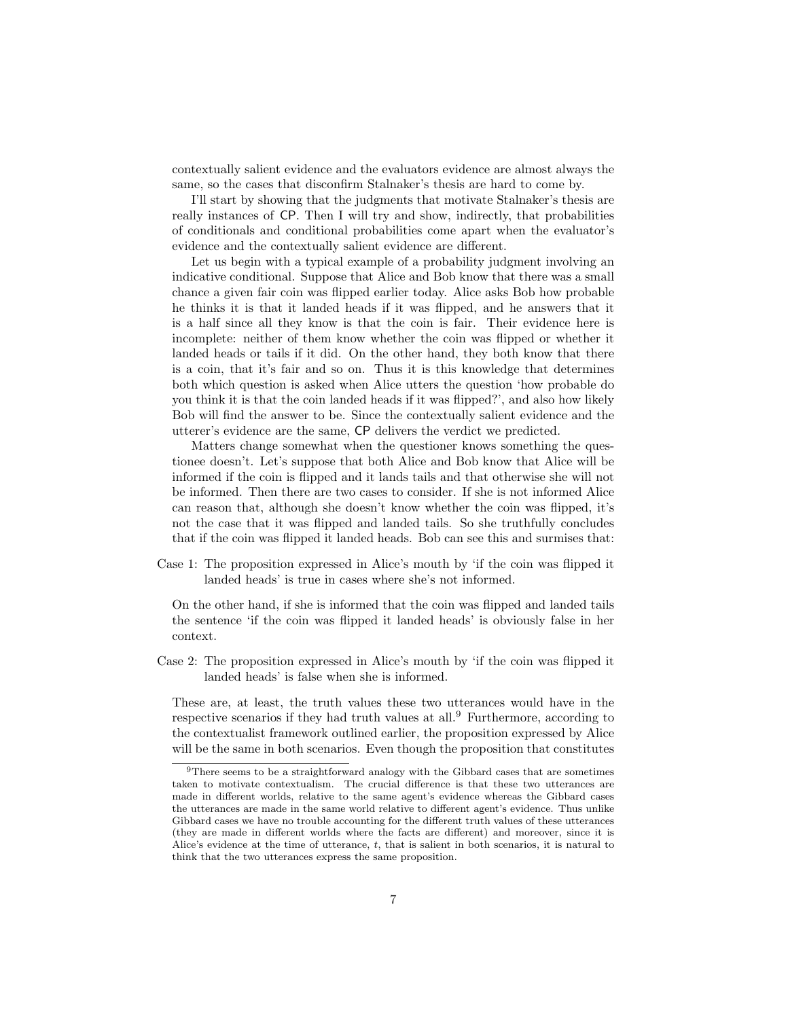contextually salient evidence and the evaluators evidence are almost always the same, so the cases that disconfirm Stalnaker's thesis are hard to come by.

I'll start by showing that the judgments that motivate Stalnaker's thesis are really instances of CP. Then I will try and show, indirectly, that probabilities of conditionals and conditional probabilities come apart when the evaluator's evidence and the contextually salient evidence are different.

Let us begin with a typical example of a probability judgment involving an indicative conditional. Suppose that Alice and Bob know that there was a small chance a given fair coin was flipped earlier today. Alice asks Bob how probable he thinks it is that it landed heads if it was flipped, and he answers that it is a half since all they know is that the coin is fair. Their evidence here is incomplete: neither of them know whether the coin was flipped or whether it landed heads or tails if it did. On the other hand, they both know that there is a coin, that it's fair and so on. Thus it is this knowledge that determines both which question is asked when Alice utters the question 'how probable do you think it is that the coin landed heads if it was flipped?', and also how likely Bob will find the answer to be. Since the contextually salient evidence and the utterer's evidence are the same, CP delivers the verdict we predicted.

Matters change somewhat when the questioner knows something the questionee doesn't. Let's suppose that both Alice and Bob know that Alice will be informed if the coin is flipped and it lands tails and that otherwise she will not be informed. Then there are two cases to consider. If she is not informed Alice can reason that, although she doesn't know whether the coin was flipped, it's not the case that it was flipped and landed tails. So she truthfully concludes that if the coin was flipped it landed heads. Bob can see this and surmises that:

Case 1: The proposition expressed in Alice's mouth by 'if the coin was flipped it landed heads' is true in cases where she's not informed.

On the other hand, if she is informed that the coin was flipped and landed tails the sentence 'if the coin was flipped it landed heads' is obviously false in her context.

Case 2: The proposition expressed in Alice's mouth by 'if the coin was flipped it landed heads' is false when she is informed.

These are, at least, the truth values these two utterances would have in the respective scenarios if they had truth values at all.<sup>9</sup> Furthermore, according to the contextualist framework outlined earlier, the proposition expressed by Alice will be the same in both scenarios. Even though the proposition that constitutes

<sup>&</sup>lt;sup>9</sup>There seems to be a straightforward analogy with the Gibbard cases that are sometimes taken to motivate contextualism. The crucial difference is that these two utterances are made in different worlds, relative to the same agent's evidence whereas the Gibbard cases the utterances are made in the same world relative to different agent's evidence. Thus unlike Gibbard cases we have no trouble accounting for the different truth values of these utterances (they are made in different worlds where the facts are different) and moreover, since it is Alice's evidence at the time of utterance, t, that is salient in both scenarios, it is natural to think that the two utterances express the same proposition.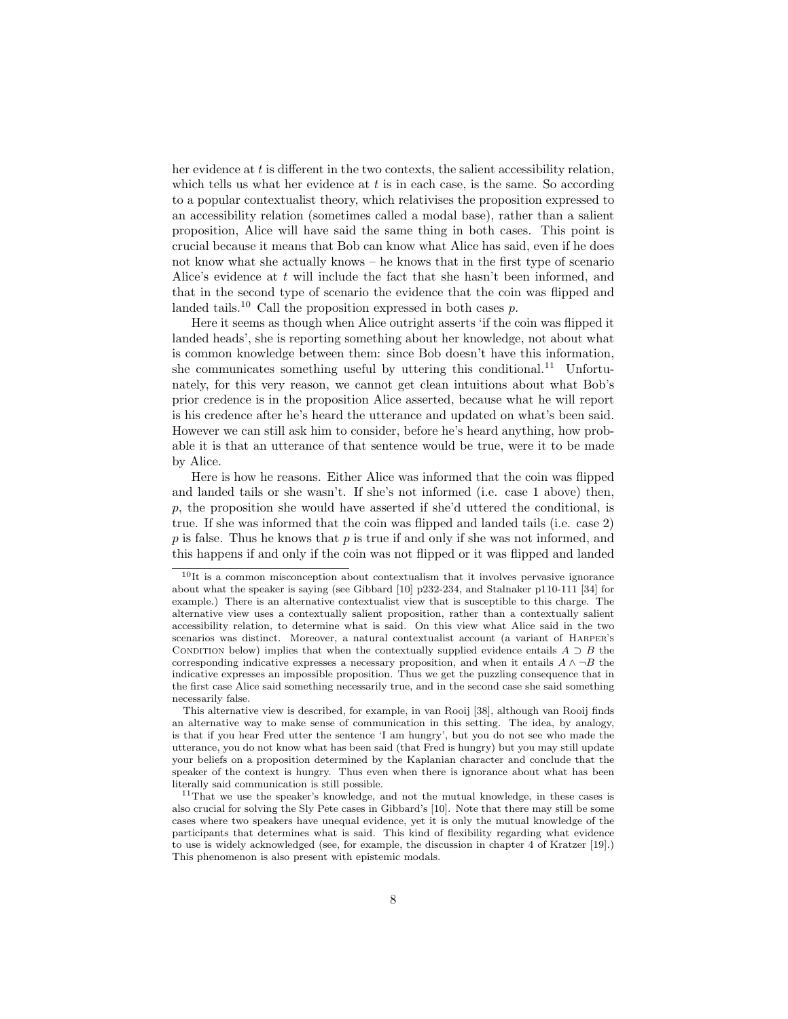her evidence at t is different in the two contexts, the salient accessibility relation, which tells us what her evidence at  $t$  is in each case, is the same. So according to a popular contextualist theory, which relativises the proposition expressed to an accessibility relation (sometimes called a modal base), rather than a salient proposition, Alice will have said the same thing in both cases. This point is crucial because it means that Bob can know what Alice has said, even if he does not know what she actually knows – he knows that in the first type of scenario Alice's evidence at t will include the fact that she hasn't been informed, and that in the second type of scenario the evidence that the coin was flipped and landed tails.<sup>10</sup> Call the proposition expressed in both cases  $p$ .

Here it seems as though when Alice outright asserts 'if the coin was flipped it landed heads', she is reporting something about her knowledge, not about what is common knowledge between them: since Bob doesn't have this information, she communicates something useful by uttering this conditional.<sup>11</sup> Unfortunately, for this very reason, we cannot get clean intuitions about what Bob's prior credence is in the proposition Alice asserted, because what he will report is his credence after he's heard the utterance and updated on what's been said. However we can still ask him to consider, before he's heard anything, how probable it is that an utterance of that sentence would be true, were it to be made by Alice.

Here is how he reasons. Either Alice was informed that the coin was flipped and landed tails or she wasn't. If she's not informed (i.e. case 1 above) then, p, the proposition she would have asserted if she'd uttered the conditional, is true. If she was informed that the coin was flipped and landed tails (i.e. case 2)  $p$  is false. Thus he knows that  $p$  is true if and only if she was not informed, and this happens if and only if the coin was not flipped or it was flipped and landed

 $10$ It is a common misconception about contextualism that it involves pervasive ignorance about what the speaker is saying (see Gibbard [10] p232-234, and Stalnaker p110-111 [34] for example.) There is an alternative contextualist view that is susceptible to this charge. The alternative view uses a contextually salient proposition, rather than a contextually salient accessibility relation, to determine what is said. On this view what Alice said in the two scenarios was distinct. Moreover, a natural contextualist account (a variant of Harper's CONDITION below) implies that when the contextually supplied evidence entails  $A \supset B$  the corresponding indicative expresses a necessary proposition, and when it entails  $A \wedge \neg B$  the indicative expresses an impossible proposition. Thus we get the puzzling consequence that in the first case Alice said something necessarily true, and in the second case she said something necessarily false.

This alternative view is described, for example, in van Rooij [38], although van Rooij finds an alternative way to make sense of communication in this setting. The idea, by analogy, is that if you hear Fred utter the sentence 'I am hungry', but you do not see who made the utterance, you do not know what has been said (that Fred is hungry) but you may still update your beliefs on a proposition determined by the Kaplanian character and conclude that the speaker of the context is hungry. Thus even when there is ignorance about what has been literally said communication is still possible.

<sup>&</sup>lt;sup>11</sup>That we use the speaker's knowledge, and not the mutual knowledge, in these cases is also crucial for solving the Sly Pete cases in Gibbard's [10]. Note that there may still be some cases where two speakers have unequal evidence, yet it is only the mutual knowledge of the participants that determines what is said. This kind of flexibility regarding what evidence to use is widely acknowledged (see, for example, the discussion in chapter 4 of Kratzer [19].) This phenomenon is also present with epistemic modals.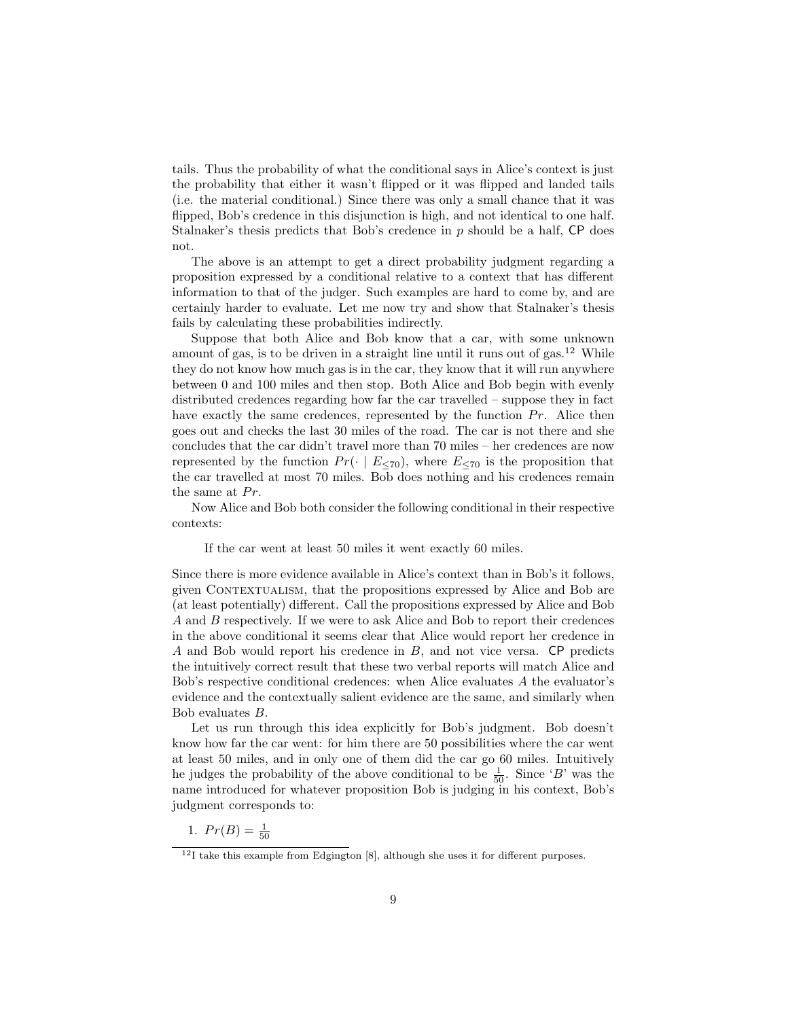tails. Thus the probability of what the conditional says in Alice's context is just the probability that either it wasn't flipped or it was flipped and landed tails (i.e. the material conditional.) Since there was only a small chance that it was flipped, Bob's credence in this disjunction is high, and not identical to one half. Stalnaker's thesis predicts that Bob's credence in  $p$  should be a half, CP does not.

The above is an attempt to get a direct probability judgment regarding a proposition expressed by a conditional relative to a context that has different information to that of the judger. Such examples are hard to come by, and are certainly harder to evaluate. Let me now try and show that Stalnaker's thesis fails by calculating these probabilities indirectly.

Suppose that both Alice and Bob know that a car, with some unknown amount of gas, is to be driven in a straight line until it runs out of gas.<sup>12</sup> While they do not know how much gas is in the car, they know that it will run anywhere between 0 and 100 miles and then stop. Both Alice and Bob begin with evenly distributed credences regarding how far the car travelled – suppose they in fact have exactly the same credences, represented by the function  $Pr$ . Alice then goes out and checks the last 30 miles of the road. The car is not there and she concludes that the car didn't travel more than 70 miles – her credences are now represented by the function  $Pr(\cdot | E_{\le 70})$ , where  $E_{\le 70}$  is the proposition that the car travelled at most 70 miles. Bob does nothing and his credences remain the same at  $Pr$ .

Now Alice and Bob both consider the following conditional in their respective contexts:

#### If the car went at least 50 miles it went exactly 60 miles.

Since there is more evidence available in Alice's context than in Bob's it follows, given Contextualism, that the propositions expressed by Alice and Bob are (at least potentially) different. Call the propositions expressed by Alice and Bob A and B respectively. If we were to ask Alice and Bob to report their credences in the above conditional it seems clear that Alice would report her credence in A and Bob would report his credence in B, and not vice versa. CP predicts the intuitively correct result that these two verbal reports will match Alice and Bob's respective conditional credences: when Alice evaluates A the evaluator's evidence and the contextually salient evidence are the same, and similarly when Bob evaluates B.

Let us run through this idea explicitly for Bob's judgment. Bob doesn't know how far the car went: for him there are 50 possibilities where the car went at least 50 miles, and in only one of them did the car go 60 miles. Intuitively he judges the probability of the above conditional to be  $\frac{1}{50}$ . Since '*B*' was the name introduced for whatever proposition Bob is judging in his context, Bob's judgment corresponds to:

1.  $Pr(B) = \frac{1}{50}$ 

 $12I$  take this example from Edgington [8], although she uses it for different purposes.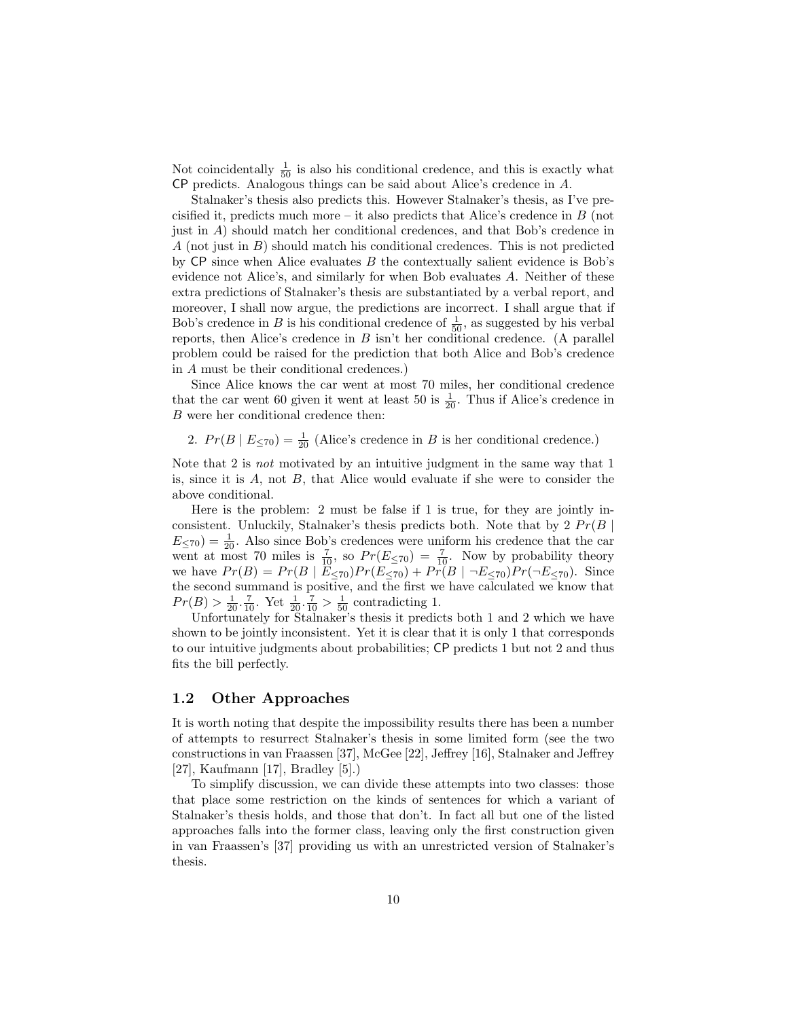Not coincidentally  $\frac{1}{50}$  is also his conditional credence, and this is exactly what CP predicts. Analogous things can be said about Alice's credence in A.

Stalnaker's thesis also predicts this. However Stalnaker's thesis, as I've precisified it, predicts much more – it also predicts that Alice's credence in  $B$  (not just in A) should match her conditional credences, and that Bob's credence in A (not just in B) should match his conditional credences. This is not predicted by  $\mathsf{CP}$  since when Alice evaluates  $B$  the contextually salient evidence is Bob's evidence not Alice's, and similarly for when Bob evaluates A. Neither of these extra predictions of Stalnaker's thesis are substantiated by a verbal report, and moreover, I shall now argue, the predictions are incorrect. I shall argue that if Bob's credence in B is his conditional credence of  $\frac{1}{50}$ , as suggested by his verbal reports, then Alice's credence in  $B$  isn't her conditional credence. (A parallel problem could be raised for the prediction that both Alice and Bob's credence in A must be their conditional credences.)

Since Alice knows the car went at most 70 miles, her conditional credence that the car went 60 given it went at least 50 is  $\frac{1}{20}$ . Thus if Alice's credence in B were her conditional credence then:

2.  $Pr(B | E_{\leq 70}) = \frac{1}{20}$  (Alice's credence in B is her conditional credence.)

Note that 2 is not motivated by an intuitive judgment in the same way that 1 is, since it is A, not B, that Alice would evaluate if she were to consider the above conditional.

Here is the problem: 2 must be false if 1 is true, for they are jointly inconsistent. Unluckily, Stalnaker's thesis predicts both. Note that by 2  $Pr(B \mid$  $E_{\leq 70}$  =  $\frac{1}{20}$ . Also since Bob's credences were uniform his credence that the car went at most 70 miles is  $\frac{7}{10}$ , so  $Pr(E_{\leq 70}) = \frac{7}{10}$ . Now by probability theory we have  $Pr(B) = Pr(B | E_{\leq 70}) Pr(E_{\leq 70}) + Pr(B | \neg E_{\leq 70}) Pr(\neg E_{\leq 70})$ . Since the second summand is positive, and the first we have calculated we know that  $Pr(B) > \frac{1}{20} \cdot \frac{7}{10}$ . Yet  $\frac{1}{20} \cdot \frac{7}{10} > \frac{1}{50}$  contradicting 1.

Unfortunately for Stalnaker's thesis it predicts both 1 and 2 which we have shown to be jointly inconsistent. Yet it is clear that it is only 1 that corresponds to our intuitive judgments about probabilities; CP predicts 1 but not 2 and thus fits the bill perfectly.

#### 1.2 Other Approaches

It is worth noting that despite the impossibility results there has been a number of attempts to resurrect Stalnaker's thesis in some limited form (see the two constructions in van Fraassen [37], McGee [22], Jeffrey [16], Stalnaker and Jeffrey [27], Kaufmann [17], Bradley [5].)

To simplify discussion, we can divide these attempts into two classes: those that place some restriction on the kinds of sentences for which a variant of Stalnaker's thesis holds, and those that don't. In fact all but one of the listed approaches falls into the former class, leaving only the first construction given in van Fraassen's [37] providing us with an unrestricted version of Stalnaker's thesis.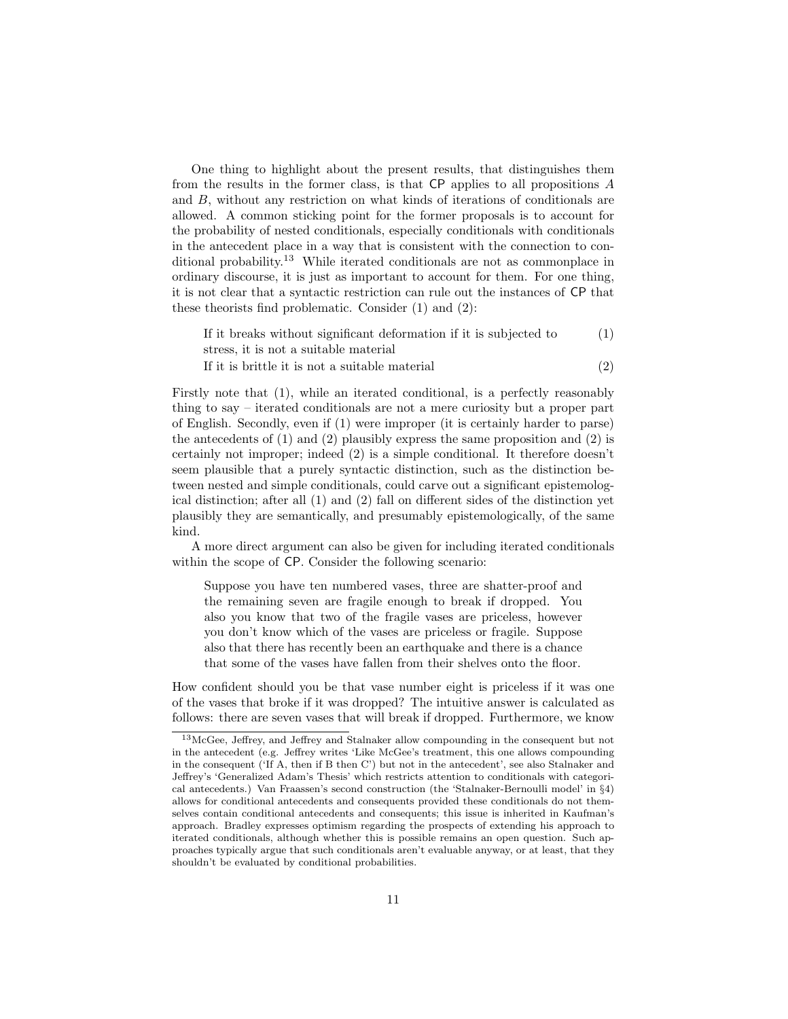One thing to highlight about the present results, that distinguishes them from the results in the former class, is that CP applies to all propositions A and B, without any restriction on what kinds of iterations of conditionals are allowed. A common sticking point for the former proposals is to account for the probability of nested conditionals, especially conditionals with conditionals in the antecedent place in a way that is consistent with the connection to conditional probability.<sup>13</sup> While iterated conditionals are not as commonplace in ordinary discourse, it is just as important to account for them. For one thing, it is not clear that a syntactic restriction can rule out the instances of CP that these theorists find problematic. Consider (1) and (2):

If it breaks without significant deformation if it is subjected to stress, it is not a suitable material (1) If it is brittle it is not a suitable material (2)

Firstly note that (1), while an iterated conditional, is a perfectly reasonably thing to say – iterated conditionals are not a mere curiosity but a proper part of English. Secondly, even if (1) were improper (it is certainly harder to parse) the antecedents of (1) and (2) plausibly express the same proposition and (2) is certainly not improper; indeed (2) is a simple conditional. It therefore doesn't seem plausible that a purely syntactic distinction, such as the distinction between nested and simple conditionals, could carve out a significant epistemological distinction; after all (1) and (2) fall on different sides of the distinction yet plausibly they are semantically, and presumably epistemologically, of the same kind.

A more direct argument can also be given for including iterated conditionals within the scope of  $\mathsf{CP}$ . Consider the following scenario:

Suppose you have ten numbered vases, three are shatter-proof and the remaining seven are fragile enough to break if dropped. You also you know that two of the fragile vases are priceless, however you don't know which of the vases are priceless or fragile. Suppose also that there has recently been an earthquake and there is a chance that some of the vases have fallen from their shelves onto the floor.

How confident should you be that vase number eight is priceless if it was one of the vases that broke if it was dropped? The intuitive answer is calculated as follows: there are seven vases that will break if dropped. Furthermore, we know

<sup>13</sup>McGee, Jeffrey, and Jeffrey and Stalnaker allow compounding in the consequent but not in the antecedent (e.g. Jeffrey writes 'Like McGee's treatment, this one allows compounding in the consequent ('If A, then if B then C') but not in the antecedent', see also Stalnaker and Jeffrey's 'Generalized Adam's Thesis' which restricts attention to conditionals with categorical antecedents.) Van Fraassen's second construction (the 'Stalnaker-Bernoulli model' in §4) allows for conditional antecedents and consequents provided these conditionals do not themselves contain conditional antecedents and consequents; this issue is inherited in Kaufman's approach. Bradley expresses optimism regarding the prospects of extending his approach to iterated conditionals, although whether this is possible remains an open question. Such approaches typically argue that such conditionals aren't evaluable anyway, or at least, that they shouldn't be evaluated by conditional probabilities.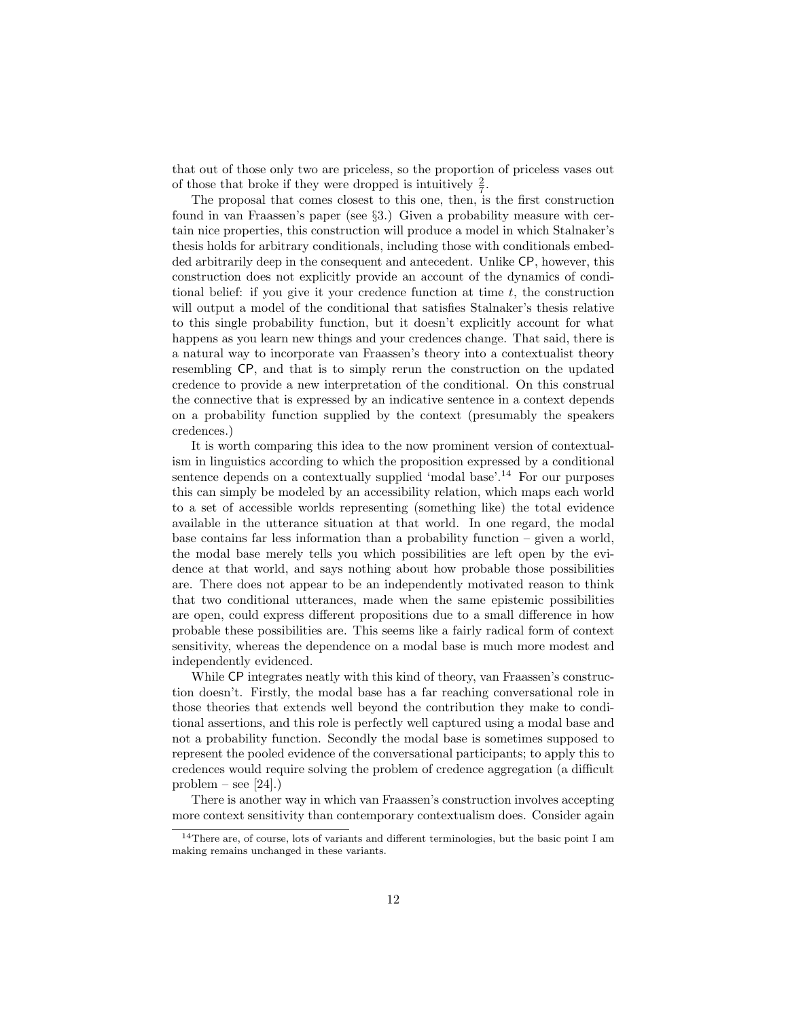that out of those only two are priceless, so the proportion of priceless vases out of those that broke if they were dropped is intuitively  $\frac{2}{7}$ .

The proposal that comes closest to this one, then, is the first construction found in van Fraassen's paper (see §3.) Given a probability measure with certain nice properties, this construction will produce a model in which Stalnaker's thesis holds for arbitrary conditionals, including those with conditionals embedded arbitrarily deep in the consequent and antecedent. Unlike CP, however, this construction does not explicitly provide an account of the dynamics of conditional belief: if you give it your credence function at time  $t$ , the construction will output a model of the conditional that satisfies Stalnaker's thesis relative to this single probability function, but it doesn't explicitly account for what happens as you learn new things and your credences change. That said, there is a natural way to incorporate van Fraassen's theory into a contextualist theory resembling CP, and that is to simply rerun the construction on the updated credence to provide a new interpretation of the conditional. On this construal the connective that is expressed by an indicative sentence in a context depends on a probability function supplied by the context (presumably the speakers credences.)

It is worth comparing this idea to the now prominent version of contextualism in linguistics according to which the proposition expressed by a conditional sentence depends on a contextually supplied 'modal base'.<sup>14</sup> For our purposes this can simply be modeled by an accessibility relation, which maps each world to a set of accessible worlds representing (something like) the total evidence available in the utterance situation at that world. In one regard, the modal base contains far less information than a probability function – given a world, the modal base merely tells you which possibilities are left open by the evidence at that world, and says nothing about how probable those possibilities are. There does not appear to be an independently motivated reason to think that two conditional utterances, made when the same epistemic possibilities are open, could express different propositions due to a small difference in how probable these possibilities are. This seems like a fairly radical form of context sensitivity, whereas the dependence on a modal base is much more modest and independently evidenced.

While CP integrates neatly with this kind of theory, van Fraassen's construction doesn't. Firstly, the modal base has a far reaching conversational role in those theories that extends well beyond the contribution they make to conditional assertions, and this role is perfectly well captured using a modal base and not a probability function. Secondly the modal base is sometimes supposed to represent the pooled evidence of the conversational participants; to apply this to credences would require solving the problem of credence aggregation (a difficult problem – see  $[24]$ .)

There is another way in which van Fraassen's construction involves accepting more context sensitivity than contemporary contextualism does. Consider again

 $14$ There are, of course, lots of variants and different terminologies, but the basic point I am making remains unchanged in these variants.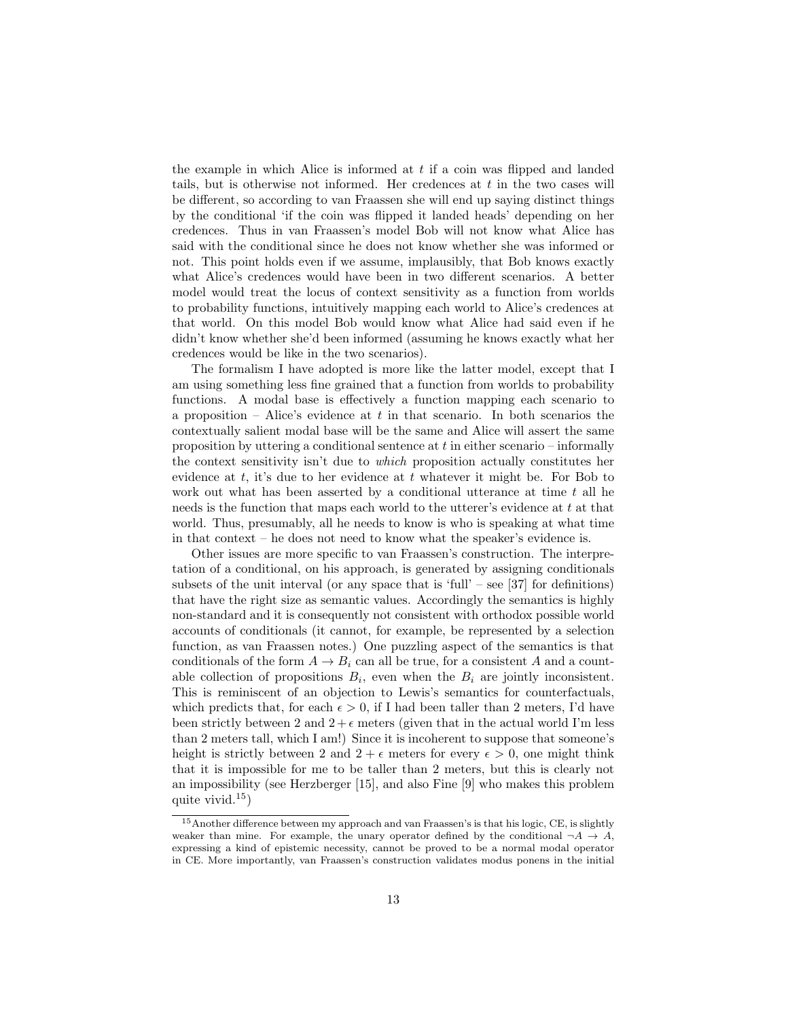the example in which Alice is informed at  $t$  if a coin was flipped and landed tails, but is otherwise not informed. Her credences at  $t$  in the two cases will be different, so according to van Fraassen she will end up saying distinct things by the conditional 'if the coin was flipped it landed heads' depending on her credences. Thus in van Fraassen's model Bob will not know what Alice has said with the conditional since he does not know whether she was informed or not. This point holds even if we assume, implausibly, that Bob knows exactly what Alice's credences would have been in two different scenarios. A better model would treat the locus of context sensitivity as a function from worlds to probability functions, intuitively mapping each world to Alice's credences at that world. On this model Bob would know what Alice had said even if he didn't know whether she'd been informed (assuming he knows exactly what her credences would be like in the two scenarios).

The formalism I have adopted is more like the latter model, except that I am using something less fine grained that a function from worlds to probability functions. A modal base is effectively a function mapping each scenario to a proposition – Alice's evidence at  $t$  in that scenario. In both scenarios the contextually salient modal base will be the same and Alice will assert the same proposition by uttering a conditional sentence at  $t$  in either scenario – informally the context sensitivity isn't due to which proposition actually constitutes her evidence at  $t$ , it's due to her evidence at  $t$  whatever it might be. For Bob to work out what has been asserted by a conditional utterance at time  $t$  all he needs is the function that maps each world to the utterer's evidence at t at that world. Thus, presumably, all he needs to know is who is speaking at what time in that context – he does not need to know what the speaker's evidence is.

Other issues are more specific to van Fraassen's construction. The interpretation of a conditional, on his approach, is generated by assigning conditionals subsets of the unit interval (or any space that is 'full' – see [37] for definitions) that have the right size as semantic values. Accordingly the semantics is highly non-standard and it is consequently not consistent with orthodox possible world accounts of conditionals (it cannot, for example, be represented by a selection function, as van Fraassen notes.) One puzzling aspect of the semantics is that conditionals of the form  $A \to B_i$  can all be true, for a consistent A and a countable collection of propositions  $B_i$ , even when the  $B_i$  are jointly inconsistent. This is reminiscent of an objection to Lewis's semantics for counterfactuals, which predicts that, for each  $\epsilon > 0$ , if I had been taller than 2 meters, I'd have been strictly between 2 and  $2 + \epsilon$  meters (given that in the actual world I'm less than 2 meters tall, which I am!) Since it is incoherent to suppose that someone's height is strictly between 2 and  $2 + \epsilon$  meters for every  $\epsilon > 0$ , one might think that it is impossible for me to be taller than 2 meters, but this is clearly not an impossibility (see Herzberger [15], and also Fine [9] who makes this problem quite vivid. $15$ )

<sup>15</sup>Another difference between my approach and van Fraassen's is that his logic, CE, is slightly weaker than mine. For example, the unary operator defined by the conditional  $\neg A \rightarrow A$ , expressing a kind of epistemic necessity, cannot be proved to be a normal modal operator in CE. More importantly, van Fraassen's construction validates modus ponens in the initial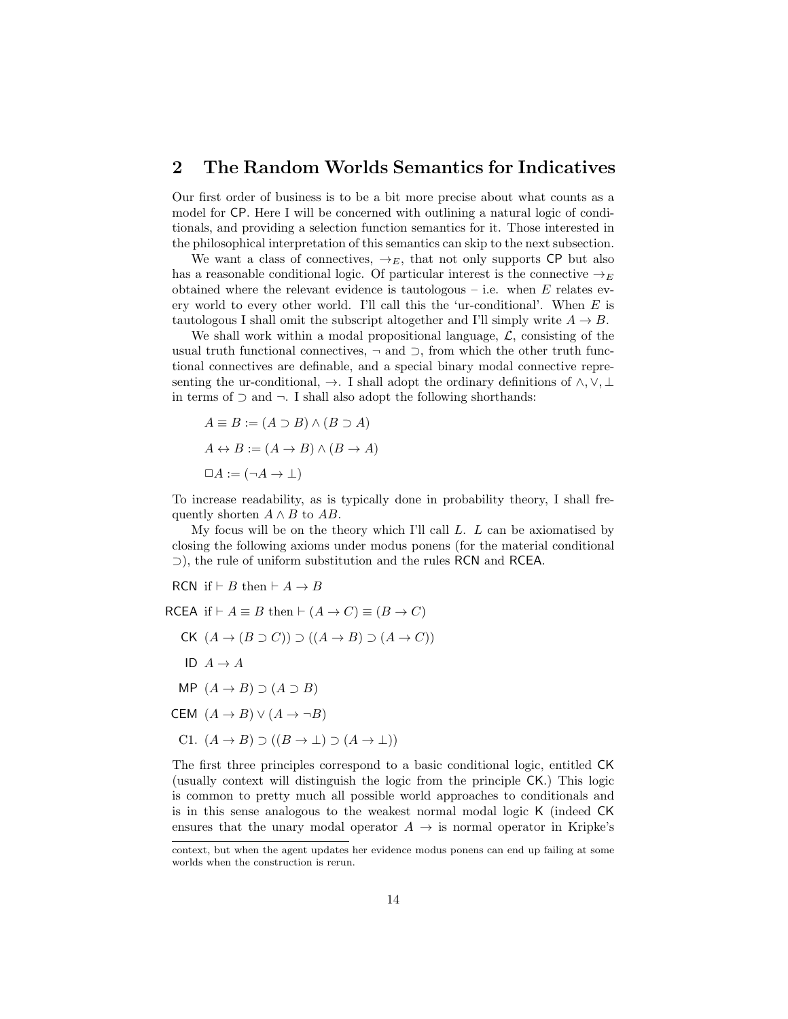### 2 The Random Worlds Semantics for Indicatives

Our first order of business is to be a bit more precise about what counts as a model for CP. Here I will be concerned with outlining a natural logic of conditionals, and providing a selection function semantics for it. Those interested in the philosophical interpretation of this semantics can skip to the next subsection.

We want a class of connectives,  $\rightarrow_E$ , that not only supports CP but also has a reasonable conditional logic. Of particular interest is the connective  $\rightarrow_E$ obtained where the relevant evidence is tautologous  $-$  i.e. when  $E$  relates every world to every other world. I'll call this the 'ur-conditional'. When  $E$  is tautologous I shall omit the subscript altogether and I'll simply write  $A \rightarrow B$ .

We shall work within a modal propositional language,  $\mathcal{L}$ , consisting of the usual truth functional connectives,  $\neg$  and  $\supset$ , from which the other truth functional connectives are definable, and a special binary modal connective representing the ur-conditional,  $\rightarrow$ . I shall adopt the ordinary definitions of  $\land$ ,  $\lor$ ,  $\bot$ in terms of ⊃ and ¬. I shall also adopt the following shorthands:

$$
A \equiv B := (A \supset B) \land (B \supset A)
$$

$$
A \leftrightarrow B := (A \to B) \land (B \to A)
$$

$$
\Box A := (\neg A \to \bot)
$$

To increase readability, as is typically done in probability theory, I shall frequently shorten  $A \wedge B$  to  $AB$ .

My focus will be on the theory which I'll call  $L$ .  $L$  can be axiomatised by closing the following axioms under modus ponens (for the material conditional ⊃), the rule of uniform substitution and the rules RCN and RCEA.

$$
RCN \text{ if } \vdash B \text{ then } \vdash A \to B
$$

RCEA if  $\vdash A \equiv B$  then  $\vdash (A \rightarrow C) \equiv (B \rightarrow C)$ 

$$
\mathsf{CK} \ \ (A \to (B \supset C)) \supset ((A \to B) \supset (A \to C))
$$

- ID  $A \rightarrow A$
- MP  $(A \rightarrow B) \supset (A \supset B)$
- CEM  $(A \rightarrow B) \vee (A \rightarrow \neg B)$
- C1.  $(A \rightarrow B) \supset (B \rightarrow \bot) \supset (A \rightarrow \bot))$

The first three principles correspond to a basic conditional logic, entitled CK (usually context will distinguish the logic from the principle CK.) This logic is common to pretty much all possible world approaches to conditionals and is in this sense analogous to the weakest normal modal logic K (indeed CK ensures that the unary modal operator  $A \rightarrow$  is normal operator in Kripke's

context, but when the agent updates her evidence modus ponens can end up failing at some worlds when the construction is rerun.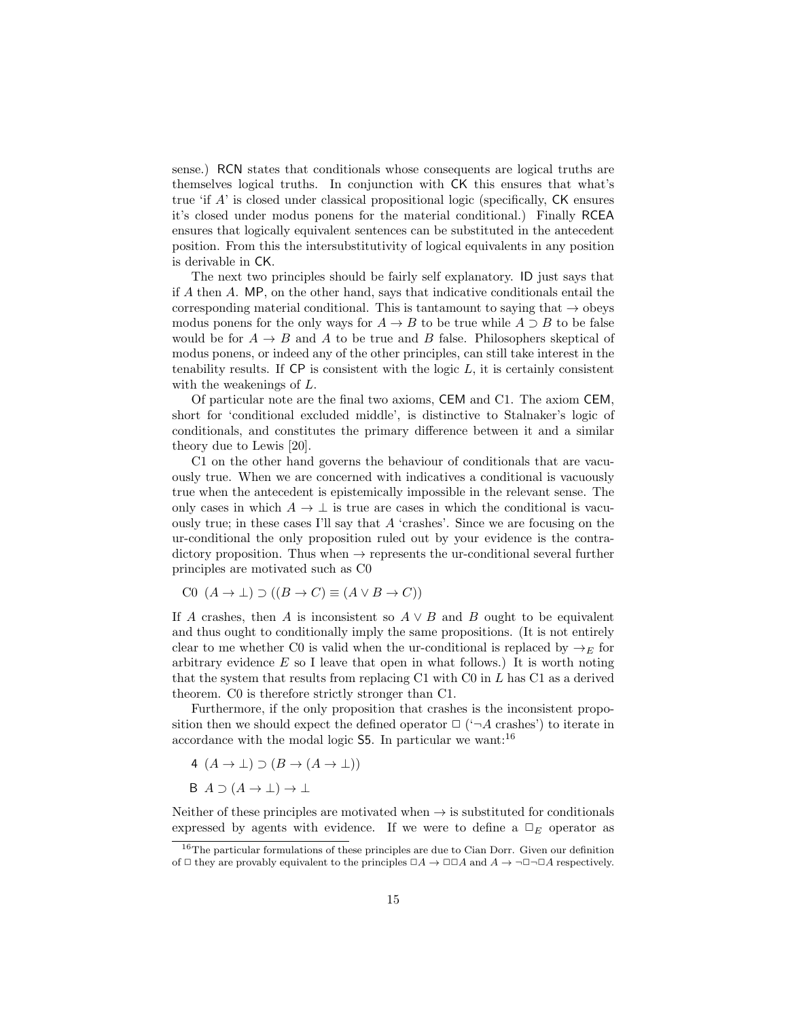sense.) RCN states that conditionals whose consequents are logical truths are themselves logical truths. In conjunction with CK this ensures that what's true 'if A' is closed under classical propositional logic (specifically, CK ensures it's closed under modus ponens for the material conditional.) Finally RCEA ensures that logically equivalent sentences can be substituted in the antecedent position. From this the intersubstitutivity of logical equivalents in any position is derivable in CK.

The next two principles should be fairly self explanatory. ID just says that if A then A. MP, on the other hand, says that indicative conditionals entail the corresponding material conditional. This is tantamount to saying that  $\rightarrow$  obeys modus ponens for the only ways for  $A \to B$  to be true while  $A \supset B$  to be false would be for  $A \to B$  and A to be true and B false. Philosophers skeptical of modus ponens, or indeed any of the other principles, can still take interest in the tenability results. If  $\mathsf{CP}$  is consistent with the logic  $L$ , it is certainly consistent with the weakenings of L.

Of particular note are the final two axioms, CEM and C1. The axiom CEM, short for 'conditional excluded middle', is distinctive to Stalnaker's logic of conditionals, and constitutes the primary difference between it and a similar theory due to Lewis [20].

C1 on the other hand governs the behaviour of conditionals that are vacuously true. When we are concerned with indicatives a conditional is vacuously true when the antecedent is epistemically impossible in the relevant sense. The only cases in which  $A \to \perp$  is true are cases in which the conditional is vacuously true; in these cases I'll say that A 'crashes'. Since we are focusing on the ur-conditional the only proposition ruled out by your evidence is the contradictory proposition. Thus when  $\rightarrow$  represents the ur-conditional several further principles are motivated such as C0

$$
C0 \ (A \to \bot) \supset ((B \to C) \equiv (A \lor B \to C))
$$

If A crashes, then A is inconsistent so  $A \vee B$  and B ought to be equivalent and thus ought to conditionally imply the same propositions. (It is not entirely clear to me whether C0 is valid when the ur-conditional is replaced by  $\rightarrow_E$  for arbitrary evidence  $E$  so I leave that open in what follows.) It is worth noting that the system that results from replacing  $C1$  with  $C0$  in  $L$  has  $C1$  as a derived theorem. C0 is therefore strictly stronger than C1.

Furthermore, if the only proposition that crashes is the inconsistent proposition then we should expect the defined operator  $\Box$  (' $\neg A$  crashes') to iterate in accordance with the modal logic  $55$ . In particular we want:<sup>16</sup>

4  $(A \to \bot) \supset (B \to (A \to \bot))$  $B \land \neg (A \rightarrow \bot) \rightarrow \bot$ 

Neither of these principles are motivated when  $\rightarrow$  is substituted for conditionals expressed by agents with evidence. If we were to define a  $\Box_E$  operator as

<sup>16</sup>The particular formulations of these principles are due to Cian Dorr. Given our definition of  $\Box$  they are provably equivalent to the principles  $\Box A \rightarrow \Box \Box A$  and  $A \rightarrow \neg \Box \neg \Box A$  respectively.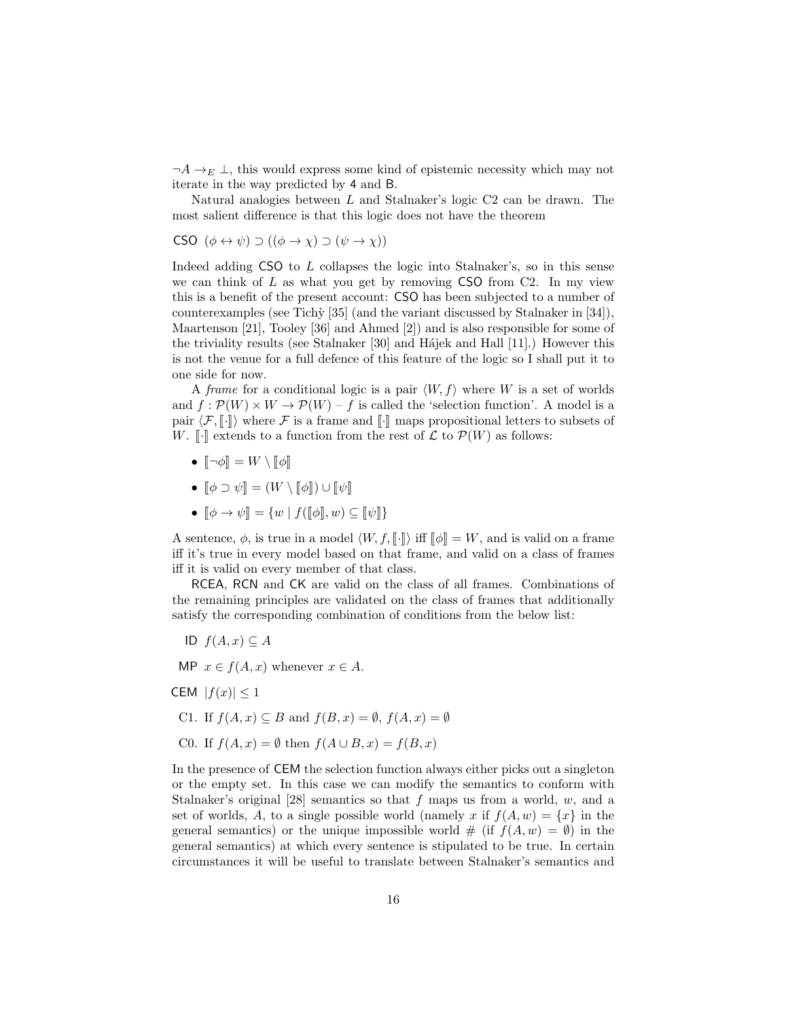$\neg A \rightarrow_E \bot$ , this would express some kind of epistemic necessity which may not iterate in the way predicted by 4 and B.

Natural analogies between L and Stalnaker's logic C2 can be drawn. The most salient difference is that this logic does not have the theorem

$$
CSO \, (\phi \leftrightarrow \psi) \supset ((\phi \to \chi) \supset (\psi \to \chi))
$$

Indeed adding CSO to L collapses the logic into Stalnaker's, so in this sense we can think of  $L$  as what you get by removing CSO from C2. In my view this is a benefit of the present account: CSO has been subjected to a number of counterexamples (see Tichy [35] (and the variant discussed by Stalnaker in [34]), Maartenson [21], Tooley [36] and Ahmed [2]) and is also responsible for some of the triviality results (see Stalnaker  $[30]$  and Hájek and Hall  $[11]$ .) However this is not the venue for a full defence of this feature of the logic so I shall put it to one side for now.

A frame for a conditional logic is a pair  $\langle W, f \rangle$  where W is a set of worlds and  $f : \mathcal{P}(W) \times W \to \mathcal{P}(W) - f$  is called the 'selection function'. A model is a pair  $\langle \mathcal{F}, \llbracket \cdot \rrbracket$  where  $\mathcal F$  is a frame and  $\llbracket \cdot \rrbracket$  maps propositional letters to subsets of W.  $\llbracket \cdot \rrbracket$  extends to a function from the rest of  $\mathcal L$  to  $\mathcal P(W)$  as follows:

- $\lbrack\neg\phi\rbrack = W \setminus \lbrack\phi\rbrack$
- $\phi \supset \psi$  =  $(W \setminus \phi)$   $\cup$   $\psi$
- $\llbracket \phi \rightarrow \psi \rrbracket = \{ w \mid f(\llbracket \phi \rrbracket, w) \subseteq \llbracket \psi \rrbracket \}$

A sentence,  $\phi$ , is true in a model  $\langle W, f, \lceil \cdot \rceil \rangle$  iff  $\lceil \phi \rceil = W$ , and is valid on a frame iff it's true in every model based on that frame, and valid on a class of frames iff it is valid on every member of that class.

RCEA, RCN and CK are valid on the class of all frames. Combinations of the remaining principles are validated on the class of frames that additionally satisfy the corresponding combination of conditions from the below list:

ID  $f(A, x) \subseteq A$ 

MP  $x \in f(A, x)$  whenever  $x \in A$ .

- CEM  $|f(x)| \leq 1$
- C1. If  $f(A, x) \subseteq B$  and  $f(B, x) = \emptyset$ ,  $f(A, x) = \emptyset$
- C0. If  $f(A, x) = \emptyset$  then  $f(A \cup B, x) = f(B, x)$

In the presence of CEM the selection function always either picks out a singleton or the empty set. In this case we can modify the semantics to conform with Stalnaker's original [28] semantics so that  $f$  maps us from a world,  $w$ , and a set of worlds, A, to a single possible world (namely x if  $f(A, w) = \{x\}$  in the general semantics) or the unique impossible world # (if  $f(A, w) = \emptyset$ ) in the general semantics) at which every sentence is stipulated to be true. In certain circumstances it will be useful to translate between Stalnaker's semantics and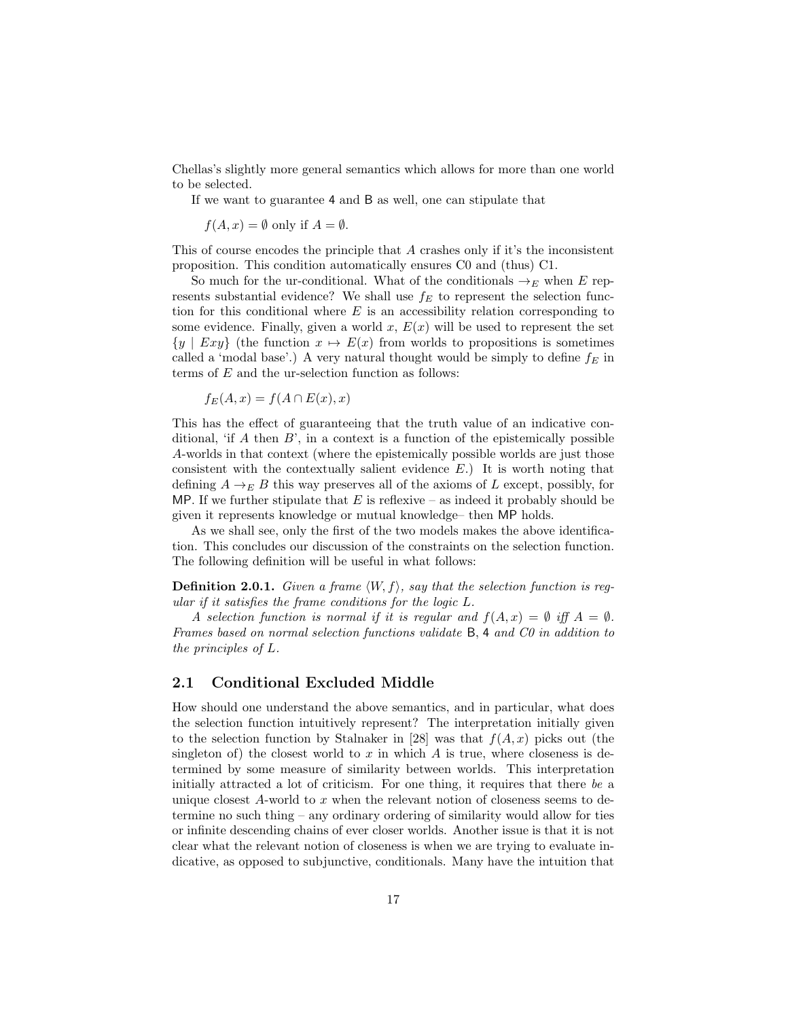Chellas's slightly more general semantics which allows for more than one world to be selected.

If we want to guarantee 4 and B as well, one can stipulate that

 $f(A, x) = \emptyset$  only if  $A = \emptyset$ .

This of course encodes the principle that A crashes only if it's the inconsistent proposition. This condition automatically ensures C0 and (thus) C1.

So much for the ur-conditional. What of the conditionals  $\rightarrow_E$  when E represents substantial evidence? We shall use  $f_E$  to represent the selection function for this conditional where  $E$  is an accessibility relation corresponding to some evidence. Finally, given a world x,  $E(x)$  will be used to represent the set  $\{y \mid Exy\}$  (the function  $x \mapsto E(x)$  from worlds to propositions is sometimes called a 'modal base'.) A very natural thought would be simply to define  $f_E$  in terms of  $E$  and the ur-selection function as follows:

$$
f_E(A, x) = f(A \cap E(x), x)
$$

This has the effect of guaranteeing that the truth value of an indicative conditional, 'if  $A$  then  $B$ ', in a context is a function of the epistemically possible A-worlds in that context (where the epistemically possible worlds are just those consistent with the contextually salient evidence  $E$ .) It is worth noting that defining  $A \rightarrow_E B$  this way preserves all of the axioms of L except, possibly, for MP. If we further stipulate that  $E$  is reflexive – as indeed it probably should be given it represents knowledge or mutual knowledge– then MP holds.

As we shall see, only the first of the two models makes the above identification. This concludes our discussion of the constraints on the selection function. The following definition will be useful in what follows:

**Definition 2.0.1.** Given a frame  $\langle W, f \rangle$ , say that the selection function is regular if it satisfies the frame conditions for the logic L.

A selection function is normal if it is regular and  $f(A, x) = \emptyset$  iff  $A = \emptyset$ . Frames based on normal selection functions validate B, 4 and C0 in addition to the principles of L.

#### 2.1 Conditional Excluded Middle

How should one understand the above semantics, and in particular, what does the selection function intuitively represent? The interpretation initially given to the selection function by Stalnaker in [28] was that  $f(A, x)$  picks out (the singleton of) the closest world to x in which A is true, where closeness is determined by some measure of similarity between worlds. This interpretation initially attracted a lot of criticism. For one thing, it requires that there be a unique closest  $A$ -world to  $x$  when the relevant notion of closeness seems to determine no such thing – any ordinary ordering of similarity would allow for ties or infinite descending chains of ever closer worlds. Another issue is that it is not clear what the relevant notion of closeness is when we are trying to evaluate indicative, as opposed to subjunctive, conditionals. Many have the intuition that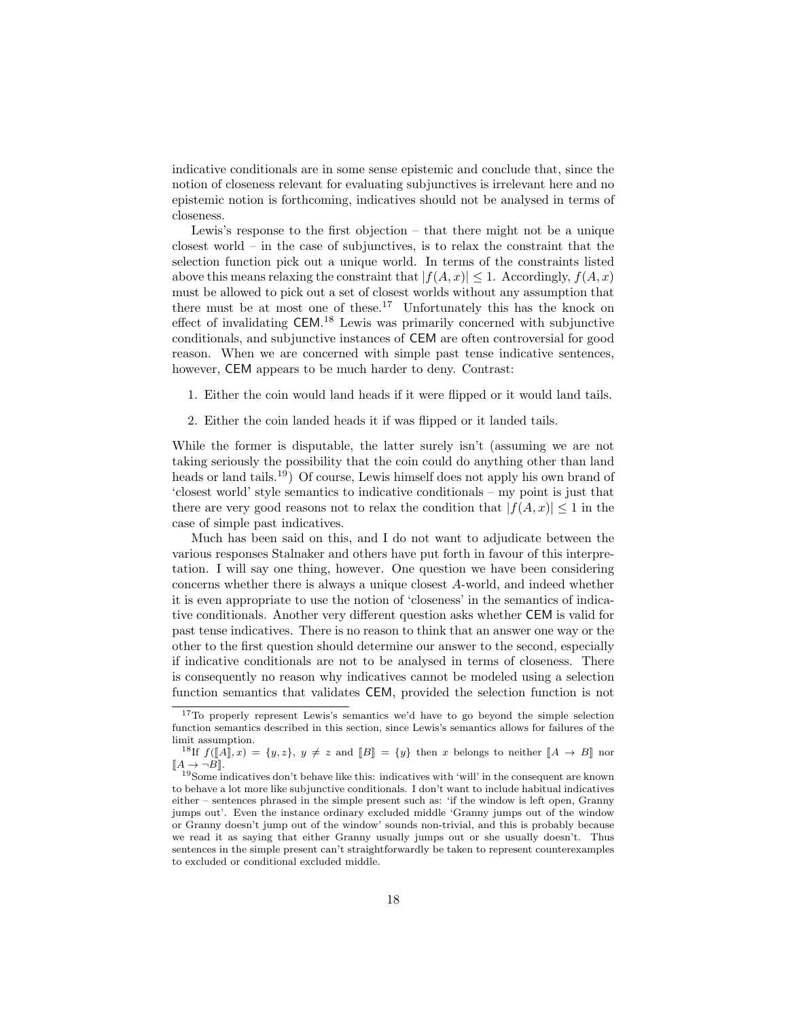indicative conditionals are in some sense epistemic and conclude that, since the notion of closeness relevant for evaluating subjunctives is irrelevant here and no epistemic notion is forthcoming, indicatives should not be analysed in terms of closeness.

Lewis's response to the first objection – that there might not be a unique closest world – in the case of subjunctives, is to relax the constraint that the selection function pick out a unique world. In terms of the constraints listed above this means relaxing the constraint that  $|f(A, x)| \leq 1$ . Accordingly,  $f(A, x)$ must be allowed to pick out a set of closest worlds without any assumption that there must be at most one of these.<sup>17</sup> Unfortunately this has the knock on effect of invalidating CEM. <sup>18</sup> Lewis was primarily concerned with subjunctive conditionals, and subjunctive instances of CEM are often controversial for good reason. When we are concerned with simple past tense indicative sentences, however, CEM appears to be much harder to deny. Contrast:

- 1. Either the coin would land heads if it were flipped or it would land tails.
- 2. Either the coin landed heads it if was flipped or it landed tails.

While the former is disputable, the latter surely isn't (assuming we are not taking seriously the possibility that the coin could do anything other than land heads or land tails.<sup>19</sup>) Of course, Lewis himself does not apply his own brand of 'closest world' style semantics to indicative conditionals – my point is just that there are very good reasons not to relax the condition that  $|f(A,x)| \leq 1$  in the case of simple past indicatives.

Much has been said on this, and I do not want to adjudicate between the various responses Stalnaker and others have put forth in favour of this interpretation. I will say one thing, however. One question we have been considering concerns whether there is always a unique closest A-world, and indeed whether it is even appropriate to use the notion of 'closeness' in the semantics of indicative conditionals. Another very different question asks whether CEM is valid for past tense indicatives. There is no reason to think that an answer one way or the other to the first question should determine our answer to the second, especially if indicative conditionals are not to be analysed in terms of closeness. There is consequently no reason why indicatives cannot be modeled using a selection function semantics that validates CEM, provided the selection function is not

<sup>17</sup>To properly represent Lewis's semantics we'd have to go beyond the simple selection function semantics described in this section, since Lewis's semantics allows for failures of the limit assumption.

<sup>&</sup>lt;sup>18</sup>If  $f([A], x) = \{y, z\}, y \neq z$  and  $[B] = \{y\}$  then x belongs to neither  $[A \rightarrow B]$  nor  $[\![ A \rightarrow \neg B ]\!] .$ 

<sup>19</sup>Some indicatives don't behave like this: indicatives with 'will' in the consequent are known to behave a lot more like subjunctive conditionals. I don't want to include habitual indicatives either – sentences phrased in the simple present such as: 'if the window is left open, Granny jumps out'. Even the instance ordinary excluded middle 'Granny jumps out of the window or Granny doesn't jump out of the window' sounds non-trivial, and this is probably because we read it as saying that either Granny usually jumps out or she usually doesn't. Thus sentences in the simple present can't straightforwardly be taken to represent counterexamples to excluded or conditional excluded middle.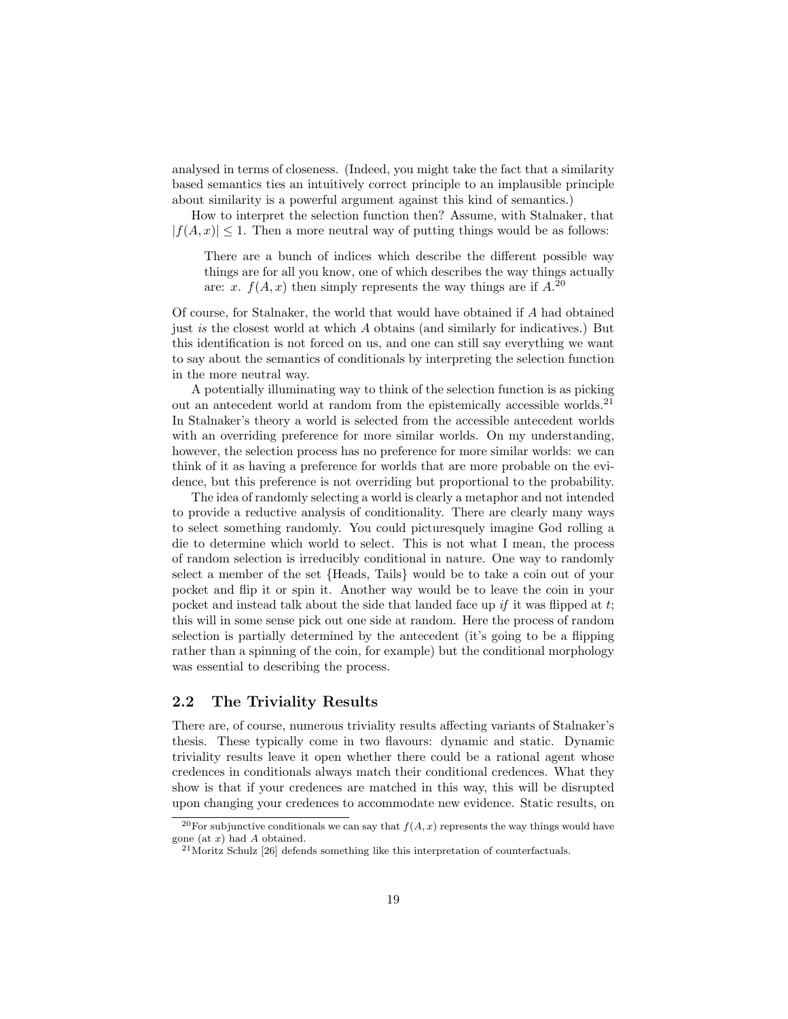analysed in terms of closeness. (Indeed, you might take the fact that a similarity based semantics ties an intuitively correct principle to an implausible principle about similarity is a powerful argument against this kind of semantics.)

How to interpret the selection function then? Assume, with Stalnaker, that  $|f(A, x)| \leq 1$ . Then a more neutral way of putting things would be as follows:

There are a bunch of indices which describe the different possible way things are for all you know, one of which describes the way things actually are: x.  $f(A, x)$  then simply represents the way things are if  $A$ <sup>20</sup>

Of course, for Stalnaker, the world that would have obtained if A had obtained just is the closest world at which A obtains (and similarly for indicatives.) But this identification is not forced on us, and one can still say everything we want to say about the semantics of conditionals by interpreting the selection function in the more neutral way.

A potentially illuminating way to think of the selection function is as picking out an antecedent world at random from the epistemically accessible worlds.<sup>21</sup> In Stalnaker's theory a world is selected from the accessible antecedent worlds with an overriding preference for more similar worlds. On my understanding, however, the selection process has no preference for more similar worlds: we can think of it as having a preference for worlds that are more probable on the evidence, but this preference is not overriding but proportional to the probability.

The idea of randomly selecting a world is clearly a metaphor and not intended to provide a reductive analysis of conditionality. There are clearly many ways to select something randomly. You could picturesquely imagine God rolling a die to determine which world to select. This is not what I mean, the process of random selection is irreducibly conditional in nature. One way to randomly select a member of the set {Heads, Tails} would be to take a coin out of your pocket and flip it or spin it. Another way would be to leave the coin in your pocket and instead talk about the side that landed face up if it was flipped at  $t$ ; this will in some sense pick out one side at random. Here the process of random selection is partially determined by the antecedent (it's going to be a flipping rather than a spinning of the coin, for example) but the conditional morphology was essential to describing the process.

#### 2.2 The Triviality Results

There are, of course, numerous triviality results affecting variants of Stalnaker's thesis. These typically come in two flavours: dynamic and static. Dynamic triviality results leave it open whether there could be a rational agent whose credences in conditionals always match their conditional credences. What they show is that if your credences are matched in this way, this will be disrupted upon changing your credences to accommodate new evidence. Static results, on

<sup>&</sup>lt;sup>20</sup>For subjunctive conditionals we can say that  $f(A, x)$  represents the way things would have gone (at  $x$ ) had  $A$  obtained.

 $^{21}$ Moritz Schulz [26] defends something like this interpretation of counterfactuals.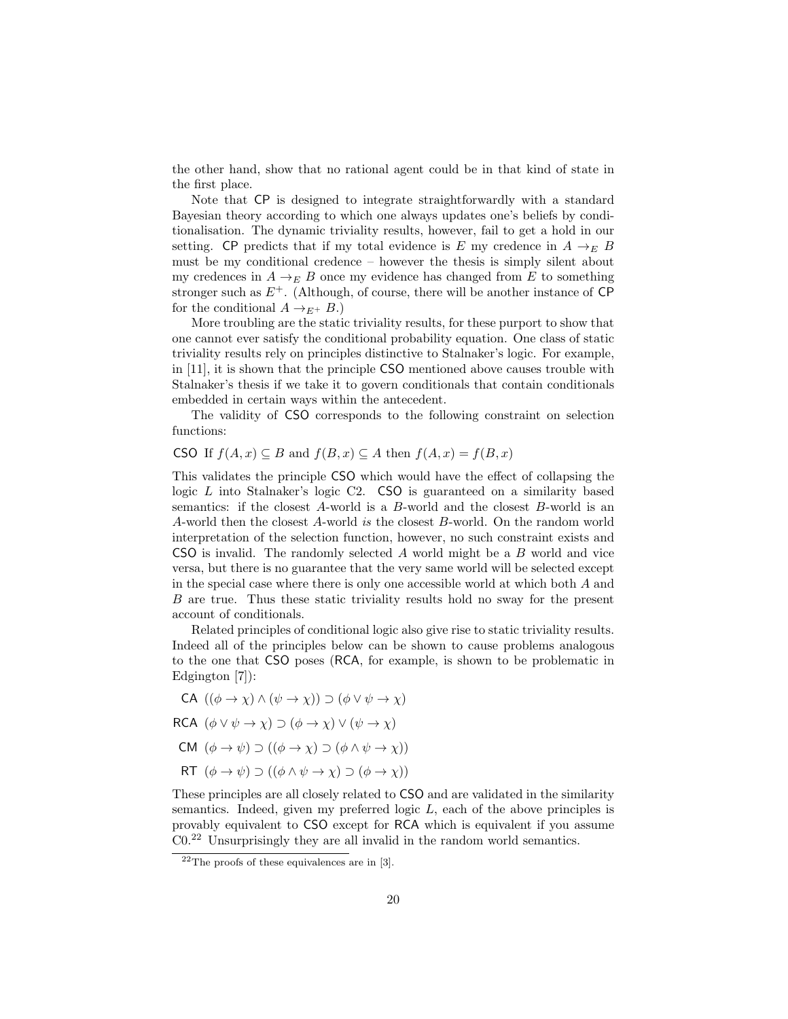the other hand, show that no rational agent could be in that kind of state in the first place.

Note that CP is designed to integrate straightforwardly with a standard Bayesian theory according to which one always updates one's beliefs by conditionalisation. The dynamic triviality results, however, fail to get a hold in our setting. CP predicts that if my total evidence is E my credence in  $A \rightarrow_E B$ must be my conditional credence – however the thesis is simply silent about my credences in  $A \rightarrow_E B$  once my evidence has changed from E to something stronger such as  $E^+$ . (Although, of course, there will be another instance of  $\mathsf{CP}$ for the conditional  $A \rightarrow_{E^+} B$ .)

More troubling are the static triviality results, for these purport to show that one cannot ever satisfy the conditional probability equation. One class of static triviality results rely on principles distinctive to Stalnaker's logic. For example, in [11], it is shown that the principle CSO mentioned above causes trouble with Stalnaker's thesis if we take it to govern conditionals that contain conditionals embedded in certain ways within the antecedent.

The validity of CSO corresponds to the following constraint on selection functions:

CSO If  $f(A, x) \subseteq B$  and  $f(B, x) \subseteq A$  then  $f(A, x) = f(B, x)$ 

This validates the principle CSO which would have the effect of collapsing the logic L into Stalnaker's logic C2. CSO is guaranteed on a similarity based semantics: if the closest A-world is a B-world and the closest B-world is an A-world then the closest A-world is the closest B-world. On the random world interpretation of the selection function, however, no such constraint exists and CSO is invalid. The randomly selected A world might be a B world and vice versa, but there is no guarantee that the very same world will be selected except in the special case where there is only one accessible world at which both A and B are true. Thus these static triviality results hold no sway for the present account of conditionals.

Related principles of conditional logic also give rise to static triviality results. Indeed all of the principles below can be shown to cause problems analogous to the one that CSO poses (RCA, for example, is shown to be problematic in Edgington [7]):

CA 
$$
((\phi \rightarrow \chi) \land (\psi \rightarrow \chi)) \supset (\phi \lor \psi \rightarrow \chi)
$$
  
RCA  $(\phi \lor \psi \rightarrow \chi) \supset (\phi \rightarrow \chi) \lor (\psi \rightarrow \chi)$   
CM  $(\phi \rightarrow \psi) \supset ((\phi \rightarrow \chi) \supset (\phi \land \psi \rightarrow \chi))$   
RT  $(\phi \rightarrow \psi) \supset ((\phi \land \psi \rightarrow \chi) \supset (\phi \rightarrow \chi))$ 

These principles are all closely related to CSO and are validated in the similarity semantics. Indeed, given my preferred logic  $L$ , each of the above principles is provably equivalent to CSO except for RCA which is equivalent if you assume C0.<sup>22</sup> Unsurprisingly they are all invalid in the random world semantics.

 $22$ The proofs of these equivalences are in [3].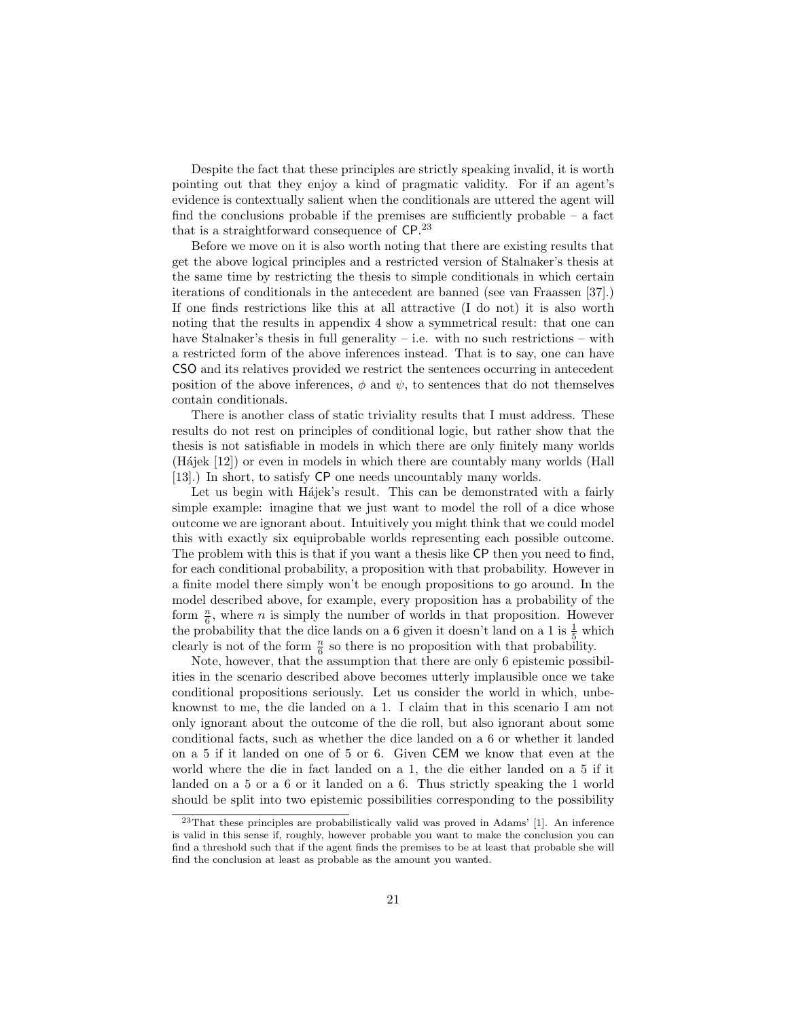Despite the fact that these principles are strictly speaking invalid, it is worth pointing out that they enjoy a kind of pragmatic validity. For if an agent's evidence is contextually salient when the conditionals are uttered the agent will find the conclusions probable if the premises are sufficiently probable  $-$  a fact that is a straightforward consequence of CP.<sup>23</sup>

Before we move on it is also worth noting that there are existing results that get the above logical principles and a restricted version of Stalnaker's thesis at the same time by restricting the thesis to simple conditionals in which certain iterations of conditionals in the antecedent are banned (see van Fraassen [37].) If one finds restrictions like this at all attractive (I do not) it is also worth noting that the results in appendix 4 show a symmetrical result: that one can have Stalnaker's thesis in full generality – i.e. with no such restrictions – with a restricted form of the above inferences instead. That is to say, one can have CSO and its relatives provided we restrict the sentences occurring in antecedent position of the above inferences,  $\phi$  and  $\psi$ , to sentences that do not themselves contain conditionals.

There is another class of static triviality results that I must address. These results do not rest on principles of conditional logic, but rather show that the thesis is not satisfiable in models in which there are only finitely many worlds  $(H\acute{a}jek [12])$  or even in models in which there are countably many worlds (Hall [13].) In short, to satisfy CP one needs uncountably many worlds.

Let us begin with Hajek's result. This can be demonstrated with a fairly simple example: imagine that we just want to model the roll of a dice whose outcome we are ignorant about. Intuitively you might think that we could model this with exactly six equiprobable worlds representing each possible outcome. The problem with this is that if you want a thesis like CP then you need to find, for each conditional probability, a proposition with that probability. However in a finite model there simply won't be enough propositions to go around. In the model described above, for example, every proposition has a probability of the form  $\frac{n}{6}$ , where *n* is simply the number of worlds in that proposition. However the probability that the dice lands on a 6 given it doesn't land on a 1 is  $\frac{1}{5}$  which clearly is not of the form  $\frac{n}{6}$  so there is no proposition with that probability.

Note, however, that the assumption that there are only 6 epistemic possibilities in the scenario described above becomes utterly implausible once we take conditional propositions seriously. Let us consider the world in which, unbeknownst to me, the die landed on a 1. I claim that in this scenario I am not only ignorant about the outcome of the die roll, but also ignorant about some conditional facts, such as whether the dice landed on a 6 or whether it landed on a 5 if it landed on one of 5 or 6. Given CEM we know that even at the world where the die in fact landed on a 1, the die either landed on a 5 if it landed on a 5 or a 6 or it landed on a 6. Thus strictly speaking the 1 world should be split into two epistemic possibilities corresponding to the possibility

<sup>23</sup>That these principles are probabilistically valid was proved in Adams' [1]. An inference is valid in this sense if, roughly, however probable you want to make the conclusion you can find a threshold such that if the agent finds the premises to be at least that probable she will find the conclusion at least as probable as the amount you wanted.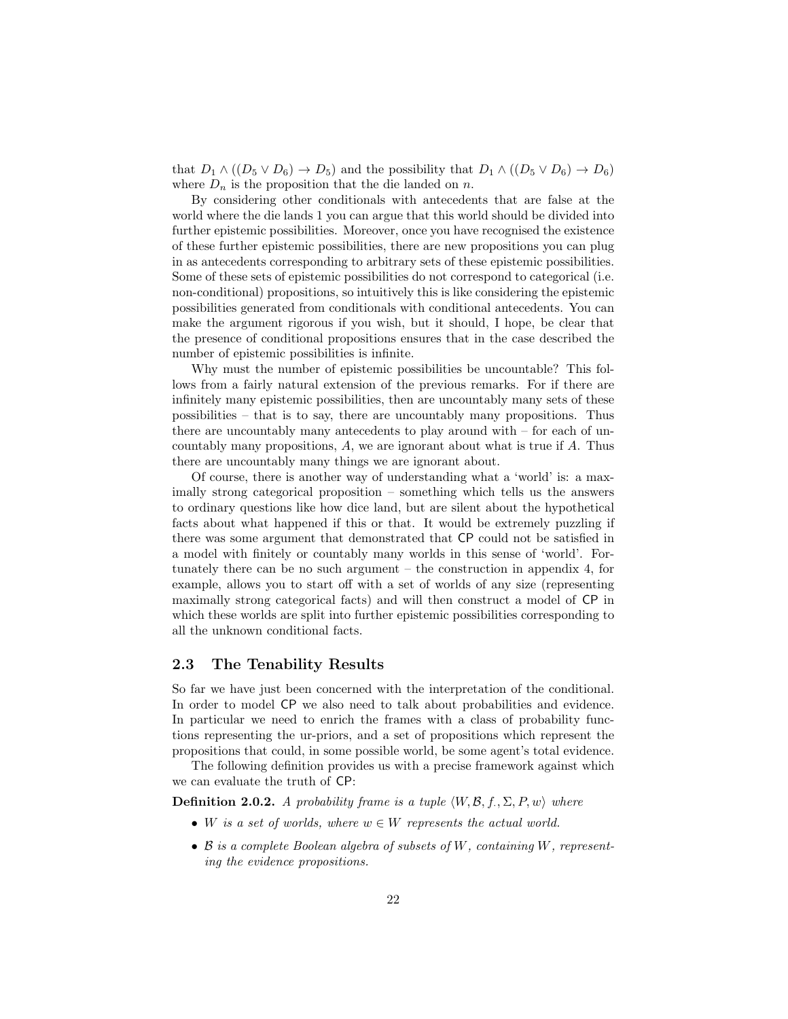that  $D_1 \wedge ((D_5 \vee D_6) \rightarrow D_5)$  and the possibility that  $D_1 \wedge ((D_5 \vee D_6) \rightarrow D_6)$ where  $D_n$  is the proposition that the die landed on n.

By considering other conditionals with antecedents that are false at the world where the die lands 1 you can argue that this world should be divided into further epistemic possibilities. Moreover, once you have recognised the existence of these further epistemic possibilities, there are new propositions you can plug in as antecedents corresponding to arbitrary sets of these epistemic possibilities. Some of these sets of epistemic possibilities do not correspond to categorical (i.e. non-conditional) propositions, so intuitively this is like considering the epistemic possibilities generated from conditionals with conditional antecedents. You can make the argument rigorous if you wish, but it should, I hope, be clear that the presence of conditional propositions ensures that in the case described the number of epistemic possibilities is infinite.

Why must the number of epistemic possibilities be uncountable? This follows from a fairly natural extension of the previous remarks. For if there are infinitely many epistemic possibilities, then are uncountably many sets of these possibilities – that is to say, there are uncountably many propositions. Thus there are uncountably many antecedents to play around with – for each of uncountably many propositions, A, we are ignorant about what is true if A. Thus there are uncountably many things we are ignorant about.

Of course, there is another way of understanding what a 'world' is: a maximally strong categorical proposition – something which tells us the answers to ordinary questions like how dice land, but are silent about the hypothetical facts about what happened if this or that. It would be extremely puzzling if there was some argument that demonstrated that CP could not be satisfied in a model with finitely or countably many worlds in this sense of 'world'. Fortunately there can be no such argument – the construction in appendix 4, for example, allows you to start off with a set of worlds of any size (representing maximally strong categorical facts) and will then construct a model of CP in which these worlds are split into further epistemic possibilities corresponding to all the unknown conditional facts.

#### 2.3 The Tenability Results

So far we have just been concerned with the interpretation of the conditional. In order to model CP we also need to talk about probabilities and evidence. In particular we need to enrich the frames with a class of probability functions representing the ur-priors, and a set of propositions which represent the propositions that could, in some possible world, be some agent's total evidence.

The following definition provides us with a precise framework against which we can evaluate the truth of CP:

**Definition 2.0.2.** A probability frame is a tuple  $\langle W, \mathcal{B}, f., \Sigma, P, w \rangle$  where

- W is a set of worlds, where  $w \in W$  represents the actual world.
- B is a complete Boolean algebra of subsets of W, containing W, representing the evidence propositions.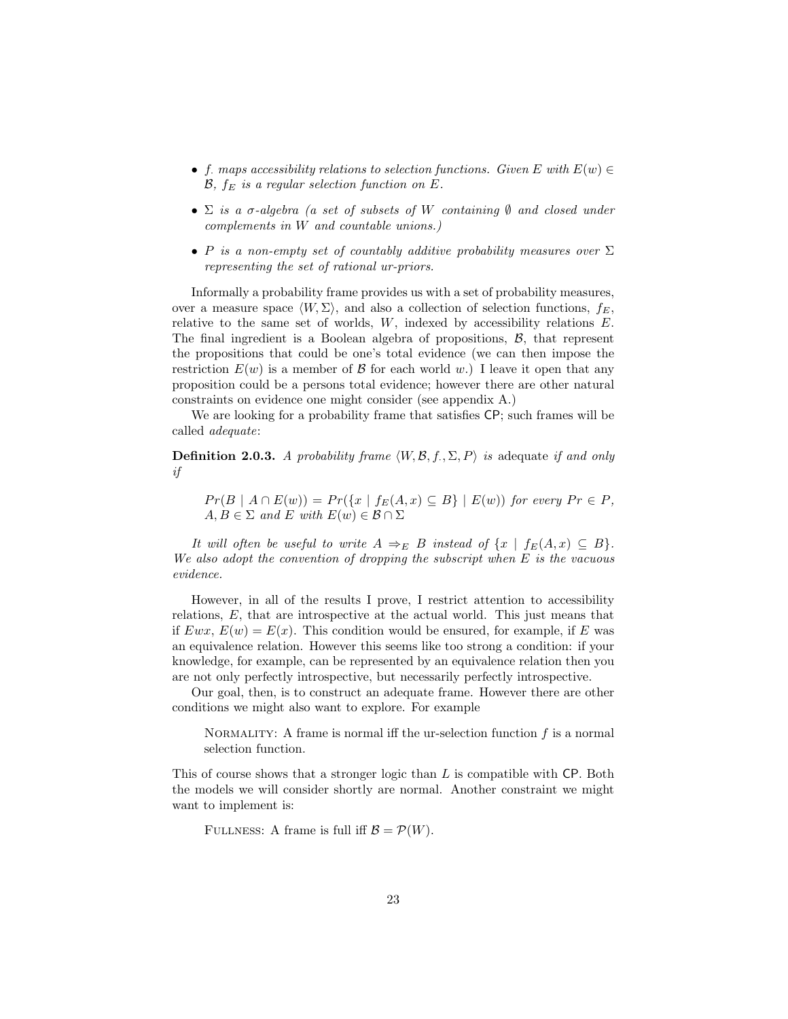- f. maps accessibility relations to selection functions. Given E with  $E(w) \in$  $\mathcal{B}, f_E$  is a regular selection function on E.
- $\Sigma$  is a  $\sigma$ -algebra (a set of subsets of W containing  $\emptyset$  and closed under complements in W and countable unions.)
- P is a non-empty set of countably additive probability measures over  $\Sigma$ representing the set of rational ur-priors.

Informally a probability frame provides us with a set of probability measures, over a measure space  $\langle W, \Sigma \rangle$ , and also a collection of selection functions,  $f_E$ , relative to the same set of worlds,  $W$ , indexed by accessibility relations  $E$ . The final ingredient is a Boolean algebra of propositions,  $\beta$ , that represent the propositions that could be one's total evidence (we can then impose the restriction  $E(w)$  is a member of  $\beta$  for each world w.) I leave it open that any proposition could be a persons total evidence; however there are other natural constraints on evidence one might consider (see appendix A.)

We are looking for a probability frame that satisfies CP; such frames will be called adequate:

**Definition 2.0.3.** A probability frame  $\langle W, \mathcal{B}, f, \Sigma, P \rangle$  is adequate if and only if

 $Pr(B \mid A \cap E(w)) = Pr({x \mid f_E(A, x) \subseteq B} \mid E(w))$  for every  $Pr \in P$ ,  $A, B \in \Sigma$  and E with  $E(w) \in \mathcal{B} \cap \Sigma$ 

It will often be useful to write  $A \Rightarrow_E B$  instead of  $\{x \mid f_E(A, x) \subseteq B\}.$ We also adopt the convention of dropping the subscript when  $E$  is the vacuous evidence.

However, in all of the results I prove, I restrict attention to accessibility relations, E, that are introspective at the actual world. This just means that if  $Ewx, E(w) = E(x)$ . This condition would be ensured, for example, if E was an equivalence relation. However this seems like too strong a condition: if your knowledge, for example, can be represented by an equivalence relation then you are not only perfectly introspective, but necessarily perfectly introspective.

Our goal, then, is to construct an adequate frame. However there are other conditions we might also want to explore. For example

NORMALITY: A frame is normal iff the ur-selection function  $f$  is a normal selection function.

This of course shows that a stronger logic than L is compatible with CP. Both the models we will consider shortly are normal. Another constraint we might want to implement is:

FULLNESS: A frame is full iff  $\mathcal{B} = \mathcal{P}(W)$ .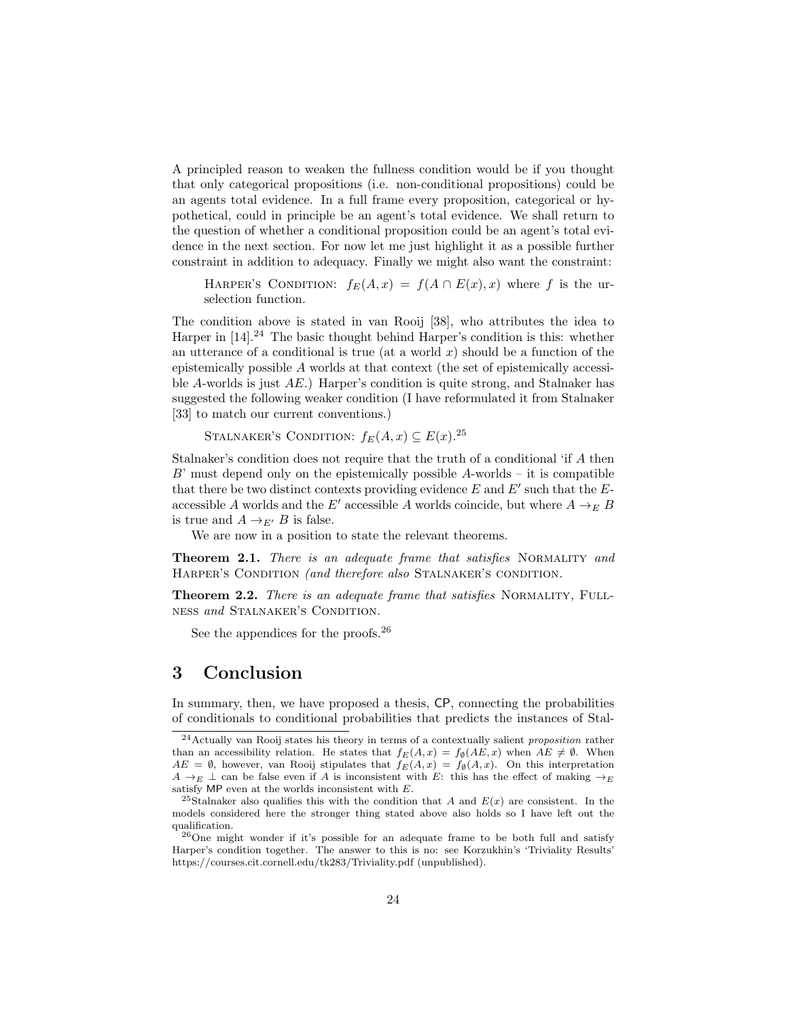A principled reason to weaken the fullness condition would be if you thought that only categorical propositions (i.e. non-conditional propositions) could be an agents total evidence. In a full frame every proposition, categorical or hypothetical, could in principle be an agent's total evidence. We shall return to the question of whether a conditional proposition could be an agent's total evidence in the next section. For now let me just highlight it as a possible further constraint in addition to adequacy. Finally we might also want the constraint:

HARPER'S CONDITION:  $f_E(A, x) = f(A \cap E(x), x)$  where f is the urselection function.

The condition above is stated in van Rooij [38], who attributes the idea to Harper in  $[14]$ .<sup>24</sup> The basic thought behind Harper's condition is this: whether an utterance of a conditional is true (at a world  $x$ ) should be a function of the epistemically possible A worlds at that context (the set of epistemically accessible A-worlds is just AE.) Harper's condition is quite strong, and Stalnaker has suggested the following weaker condition (I have reformulated it from Stalnaker [33] to match our current conventions.)

STALNAKER'S CONDITION:  $f_E(A, x) \subseteq E(x).^{25}$ 

Stalnaker's condition does not require that the truth of a conditional 'if A then  $B'$  must depend only on the epistemically possible  $A$ -worlds – it is compatible that there be two distinct contexts providing evidence  $E$  and  $E'$  such that the  $E$ accessible A worlds and the E' accessible A worlds coincide, but where  $A \rightarrow_E B$ is true and  $A \rightarrow_{E'} B$  is false.

We are now in a position to state the relevant theorems.

**Theorem 2.1.** There is an adequate frame that satisfies NORMALITY and HARPER'S CONDITION (and therefore also STALNAKER'S CONDITION.

**Theorem 2.2.** There is an adequate frame that satisfies NORMALITY, FULLness and Stalnaker's Condition.

See the appendices for the proofs.<sup>26</sup>

### 3 Conclusion

In summary, then, we have proposed a thesis, CP, connecting the probabilities of conditionals to conditional probabilities that predicts the instances of Stal-

<sup>24</sup>Actually van Rooij states his theory in terms of a contextually salient proposition rather than an accessibility relation. He states that  $f_E(A, x) = f_{\emptyset}(AE, x)$  when  $AE \neq \emptyset$ . When  $AE = \emptyset$ , however, van Rooij stipulates that  $f_E(A, x) = f_{\emptyset}(A, x)$ . On this interpretation  $A \rightarrow_E \bot$  can be false even if A is inconsistent with E: this has the effect of making  $\rightarrow_E$ satisfy MP even at the worlds inconsistent with  $E$ .

<sup>&</sup>lt;sup>25</sup>Stalnaker also qualifies this with the condition that A and  $E(x)$  are consistent. In the models considered here the stronger thing stated above also holds so I have left out the qualification.

<sup>&</sup>lt;sup>26</sup>One might wonder if it's possible for an adequate frame to be both full and satisfy Harper's condition together. The answer to this is no: see Korzukhin's 'Triviality Results' https://courses.cit.cornell.edu/tk283/Triviality.pdf (unpublished).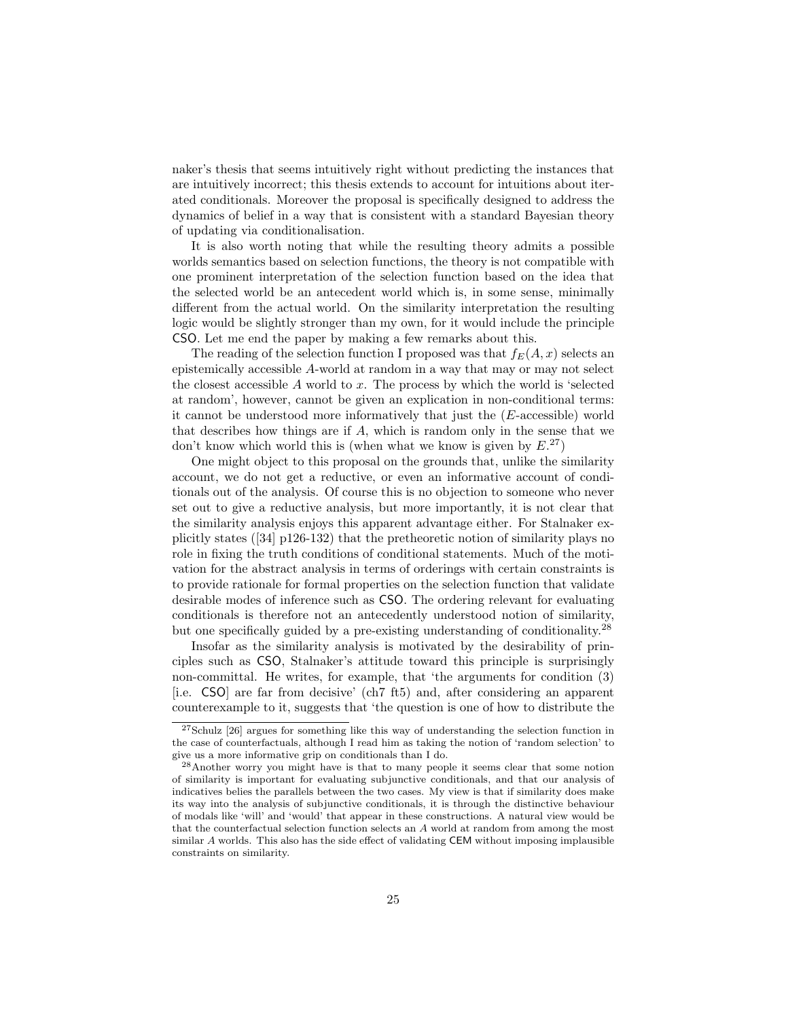naker's thesis that seems intuitively right without predicting the instances that are intuitively incorrect; this thesis extends to account for intuitions about iterated conditionals. Moreover the proposal is specifically designed to address the dynamics of belief in a way that is consistent with a standard Bayesian theory of updating via conditionalisation.

It is also worth noting that while the resulting theory admits a possible worlds semantics based on selection functions, the theory is not compatible with one prominent interpretation of the selection function based on the idea that the selected world be an antecedent world which is, in some sense, minimally different from the actual world. On the similarity interpretation the resulting logic would be slightly stronger than my own, for it would include the principle CSO. Let me end the paper by making a few remarks about this.

The reading of the selection function I proposed was that  $f_E(A, x)$  selects an epistemically accessible A-world at random in a way that may or may not select the closest accessible  $A$  world to  $x$ . The process by which the world is 'selected at random', however, cannot be given an explication in non-conditional terms: it cannot be understood more informatively that just the (E-accessible) world that describes how things are if A, which is random only in the sense that we don't know which world this is (when what we know is given by  $E^{(27)}$ )

One might object to this proposal on the grounds that, unlike the similarity account, we do not get a reductive, or even an informative account of conditionals out of the analysis. Of course this is no objection to someone who never set out to give a reductive analysis, but more importantly, it is not clear that the similarity analysis enjoys this apparent advantage either. For Stalnaker explicitly states ([34] p126-132) that the pretheoretic notion of similarity plays no role in fixing the truth conditions of conditional statements. Much of the motivation for the abstract analysis in terms of orderings with certain constraints is to provide rationale for formal properties on the selection function that validate desirable modes of inference such as CSO. The ordering relevant for evaluating conditionals is therefore not an antecedently understood notion of similarity, but one specifically guided by a pre-existing understanding of conditionality.<sup>28</sup>

Insofar as the similarity analysis is motivated by the desirability of principles such as CSO, Stalnaker's attitude toward this principle is surprisingly non-committal. He writes, for example, that 'the arguments for condition (3) [i.e. CSO] are far from decisive' (ch7 ft5) and, after considering an apparent counterexample to it, suggests that 'the question is one of how to distribute the

<sup>27</sup>Schulz [26] argues for something like this way of understanding the selection function in the case of counterfactuals, although I read him as taking the notion of 'random selection' to give us a more informative grip on conditionals than I do.

<sup>28</sup>Another worry you might have is that to many people it seems clear that some notion of similarity is important for evaluating subjunctive conditionals, and that our analysis of indicatives belies the parallels between the two cases. My view is that if similarity does make its way into the analysis of subjunctive conditionals, it is through the distinctive behaviour of modals like 'will' and 'would' that appear in these constructions. A natural view would be that the counterfactual selection function selects an A world at random from among the most similar A worlds. This also has the side effect of validating CEM without imposing implausible constraints on similarity.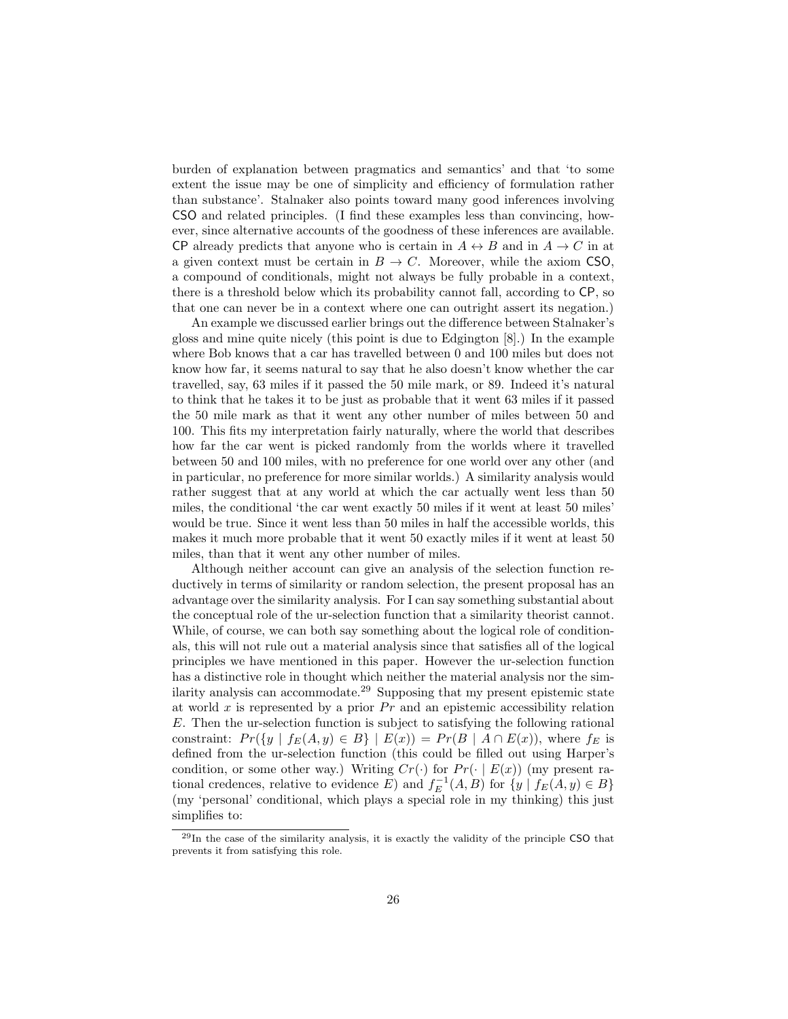burden of explanation between pragmatics and semantics' and that 'to some extent the issue may be one of simplicity and efficiency of formulation rather than substance'. Stalnaker also points toward many good inferences involving CSO and related principles. (I find these examples less than convincing, however, since alternative accounts of the goodness of these inferences are available. CP already predicts that anyone who is certain in  $A \leftrightarrow B$  and in  $A \to C$  in at a given context must be certain in  $B \to C$ . Moreover, while the axiom CSO, a compound of conditionals, might not always be fully probable in a context, there is a threshold below which its probability cannot fall, according to CP, so that one can never be in a context where one can outright assert its negation.)

An example we discussed earlier brings out the difference between Stalnaker's gloss and mine quite nicely (this point is due to Edgington [8].) In the example where Bob knows that a car has travelled between 0 and 100 miles but does not know how far, it seems natural to say that he also doesn't know whether the car travelled, say, 63 miles if it passed the 50 mile mark, or 89. Indeed it's natural to think that he takes it to be just as probable that it went 63 miles if it passed the 50 mile mark as that it went any other number of miles between 50 and 100. This fits my interpretation fairly naturally, where the world that describes how far the car went is picked randomly from the worlds where it travelled between 50 and 100 miles, with no preference for one world over any other (and in particular, no preference for more similar worlds.) A similarity analysis would rather suggest that at any world at which the car actually went less than 50 miles, the conditional 'the car went exactly 50 miles if it went at least 50 miles' would be true. Since it went less than 50 miles in half the accessible worlds, this makes it much more probable that it went 50 exactly miles if it went at least 50 miles, than that it went any other number of miles.

Although neither account can give an analysis of the selection function reductively in terms of similarity or random selection, the present proposal has an advantage over the similarity analysis. For I can say something substantial about the conceptual role of the ur-selection function that a similarity theorist cannot. While, of course, we can both say something about the logical role of conditionals, this will not rule out a material analysis since that satisfies all of the logical principles we have mentioned in this paper. However the ur-selection function has a distinctive role in thought which neither the material analysis nor the similarity analysis can accommodate.<sup>29</sup> Supposing that my present epistemic state at world  $x$  is represented by a prior  $Pr$  and an epistemic accessibility relation E. Then the ur-selection function is subject to satisfying the following rational constraint:  $Pr({y | f_E(A, y) \in B} | E(x)) = Pr(B | A \cap E(x))$ , where  $f_E$  is defined from the ur-selection function (this could be filled out using Harper's condition, or some other way.) Writing  $Cr(\cdot)$  for  $Pr(\cdot | E(x))$  (my present rational credences, relative to evidence E) and  $f_E^{-1}(A, B)$  for  $\{y \mid f_E(A, y) \in B\}$ (my 'personal' conditional, which plays a special role in my thinking) this just simplifies to:

<sup>29</sup>In the case of the similarity analysis, it is exactly the validity of the principle CSO that prevents it from satisfying this role.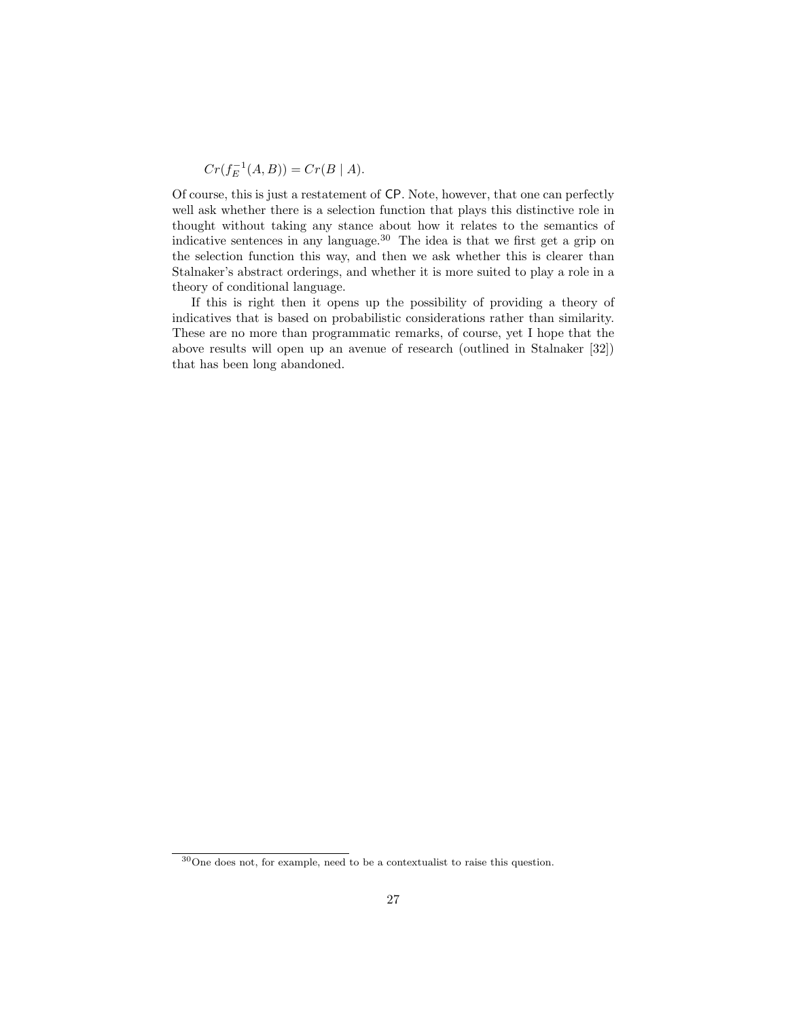$$
Cr(f_E^{-1}(A,B)) = Cr(B \mid A).
$$

Of course, this is just a restatement of CP. Note, however, that one can perfectly well ask whether there is a selection function that plays this distinctive role in thought without taking any stance about how it relates to the semantics of indicative sentences in any language.<sup>30</sup> The idea is that we first get a grip on the selection function this way, and then we ask whether this is clearer than Stalnaker's abstract orderings, and whether it is more suited to play a role in a theory of conditional language.

If this is right then it opens up the possibility of providing a theory of indicatives that is based on probabilistic considerations rather than similarity. These are no more than programmatic remarks, of course, yet I hope that the above results will open up an avenue of research (outlined in Stalnaker [32]) that has been long abandoned.

<sup>30</sup>One does not, for example, need to be a contextualist to raise this question.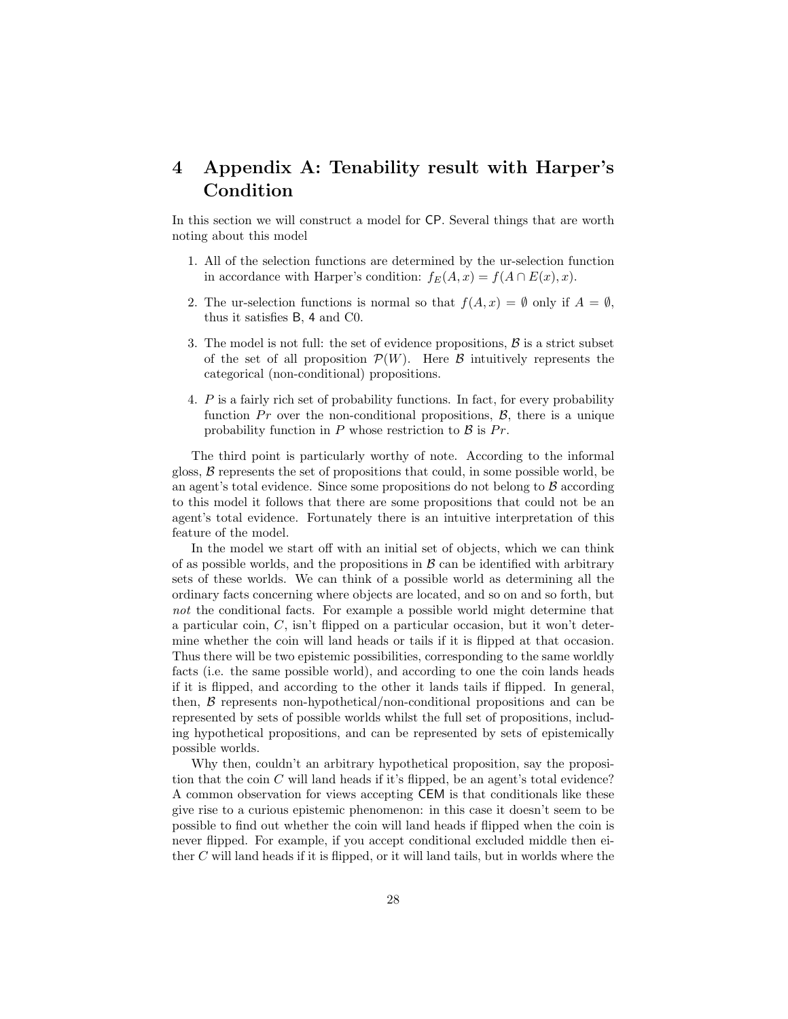## 4 Appendix A: Tenability result with Harper's Condition

In this section we will construct a model for CP. Several things that are worth noting about this model

- 1. All of the selection functions are determined by the ur-selection function in accordance with Harper's condition:  $f_E(A, x) = f(A \cap E(x), x)$ .
- 2. The ur-selection functions is normal so that  $f(A, x) = \emptyset$  only if  $A = \emptyset$ , thus it satisfies B, 4 and C0.
- 3. The model is not full: the set of evidence propositions,  $\beta$  is a strict subset of the set of all proposition  $\mathcal{P}(W)$ . Here  $\mathcal B$  intuitively represents the categorical (non-conditional) propositions.
- 4. P is a fairly rich set of probability functions. In fact, for every probability function  $Pr$  over the non-conditional propositions,  $\beta$ , there is a unique probability function in P whose restriction to  $\beta$  is Pr.

The third point is particularly worthy of note. According to the informal gloss,  $\beta$  represents the set of propositions that could, in some possible world, be an agent's total evidence. Since some propositions do not belong to  $\beta$  according to this model it follows that there are some propositions that could not be an agent's total evidence. Fortunately there is an intuitive interpretation of this feature of the model.

In the model we start off with an initial set of objects, which we can think of as possible worlds, and the propositions in  $\beta$  can be identified with arbitrary sets of these worlds. We can think of a possible world as determining all the ordinary facts concerning where objects are located, and so on and so forth, but not the conditional facts. For example a possible world might determine that a particular coin, C, isn't flipped on a particular occasion, but it won't determine whether the coin will land heads or tails if it is flipped at that occasion. Thus there will be two epistemic possibilities, corresponding to the same worldly facts (i.e. the same possible world), and according to one the coin lands heads if it is flipped, and according to the other it lands tails if flipped. In general, then,  $\beta$  represents non-hypothetical/non-conditional propositions and can be represented by sets of possible worlds whilst the full set of propositions, including hypothetical propositions, and can be represented by sets of epistemically possible worlds.

Why then, couldn't an arbitrary hypothetical proposition, say the proposition that the coin  $C$  will land heads if it's flipped, be an agent's total evidence? A common observation for views accepting CEM is that conditionals like these give rise to a curious epistemic phenomenon: in this case it doesn't seem to be possible to find out whether the coin will land heads if flipped when the coin is never flipped. For example, if you accept conditional excluded middle then either C will land heads if it is flipped, or it will land tails, but in worlds where the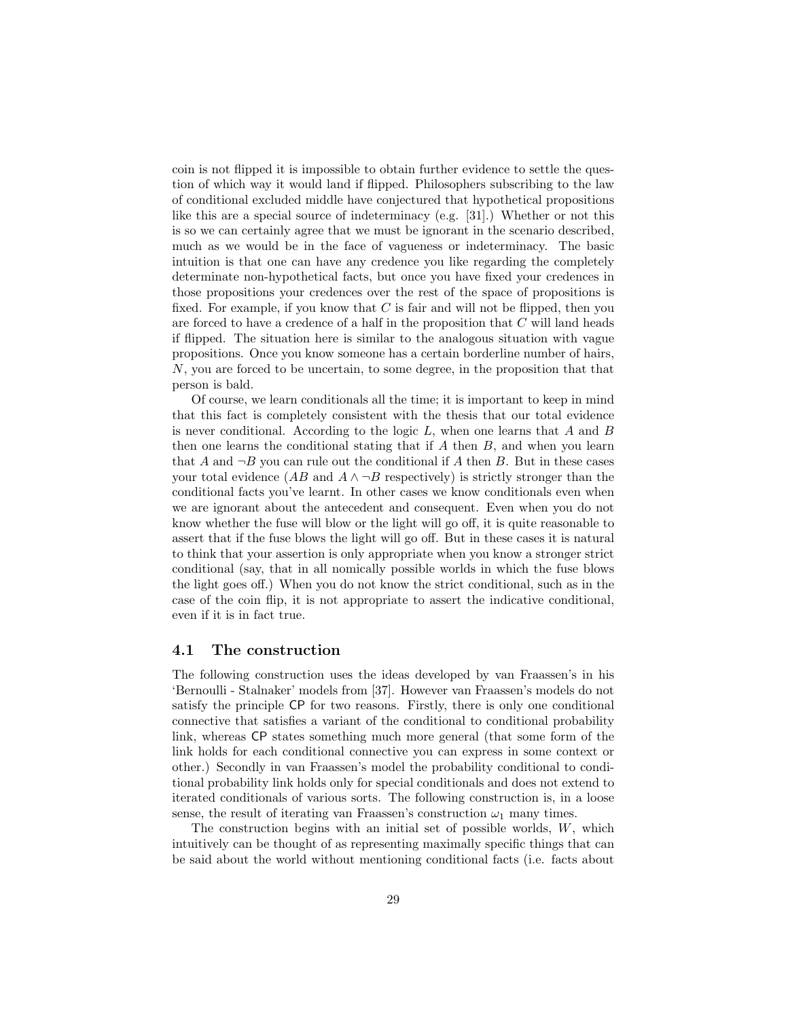coin is not flipped it is impossible to obtain further evidence to settle the question of which way it would land if flipped. Philosophers subscribing to the law of conditional excluded middle have conjectured that hypothetical propositions like this are a special source of indeterminacy (e.g. [31].) Whether or not this is so we can certainly agree that we must be ignorant in the scenario described, much as we would be in the face of vagueness or indeterminacy. The basic intuition is that one can have any credence you like regarding the completely determinate non-hypothetical facts, but once you have fixed your credences in those propositions your credences over the rest of the space of propositions is fixed. For example, if you know that  $C$  is fair and will not be flipped, then you are forced to have a credence of a half in the proposition that  $C$  will land heads if flipped. The situation here is similar to the analogous situation with vague propositions. Once you know someone has a certain borderline number of hairs, N, you are forced to be uncertain, to some degree, in the proposition that that person is bald.

Of course, we learn conditionals all the time; it is important to keep in mind that this fact is completely consistent with the thesis that our total evidence is never conditional. According to the logic  $L$ , when one learns that  $A$  and  $B$ then one learns the conditional stating that if  $A$  then  $B$ , and when you learn that A and  $\neg B$  you can rule out the conditional if A then B. But in these cases your total evidence  $(AB \text{ and } A \wedge \neg B$  respectively) is strictly stronger than the conditional facts you've learnt. In other cases we know conditionals even when we are ignorant about the antecedent and consequent. Even when you do not know whether the fuse will blow or the light will go off, it is quite reasonable to assert that if the fuse blows the light will go off. But in these cases it is natural to think that your assertion is only appropriate when you know a stronger strict conditional (say, that in all nomically possible worlds in which the fuse blows the light goes off.) When you do not know the strict conditional, such as in the case of the coin flip, it is not appropriate to assert the indicative conditional, even if it is in fact true.

#### 4.1 The construction

The following construction uses the ideas developed by van Fraassen's in his 'Bernoulli - Stalnaker' models from [37]. However van Fraassen's models do not satisfy the principle CP for two reasons. Firstly, there is only one conditional connective that satisfies a variant of the conditional to conditional probability link, whereas CP states something much more general (that some form of the link holds for each conditional connective you can express in some context or other.) Secondly in van Fraassen's model the probability conditional to conditional probability link holds only for special conditionals and does not extend to iterated conditionals of various sorts. The following construction is, in a loose sense, the result of iterating van Fraassen's construction  $\omega_1$  many times.

The construction begins with an initial set of possible worlds,  $W$ , which intuitively can be thought of as representing maximally specific things that can be said about the world without mentioning conditional facts (i.e. facts about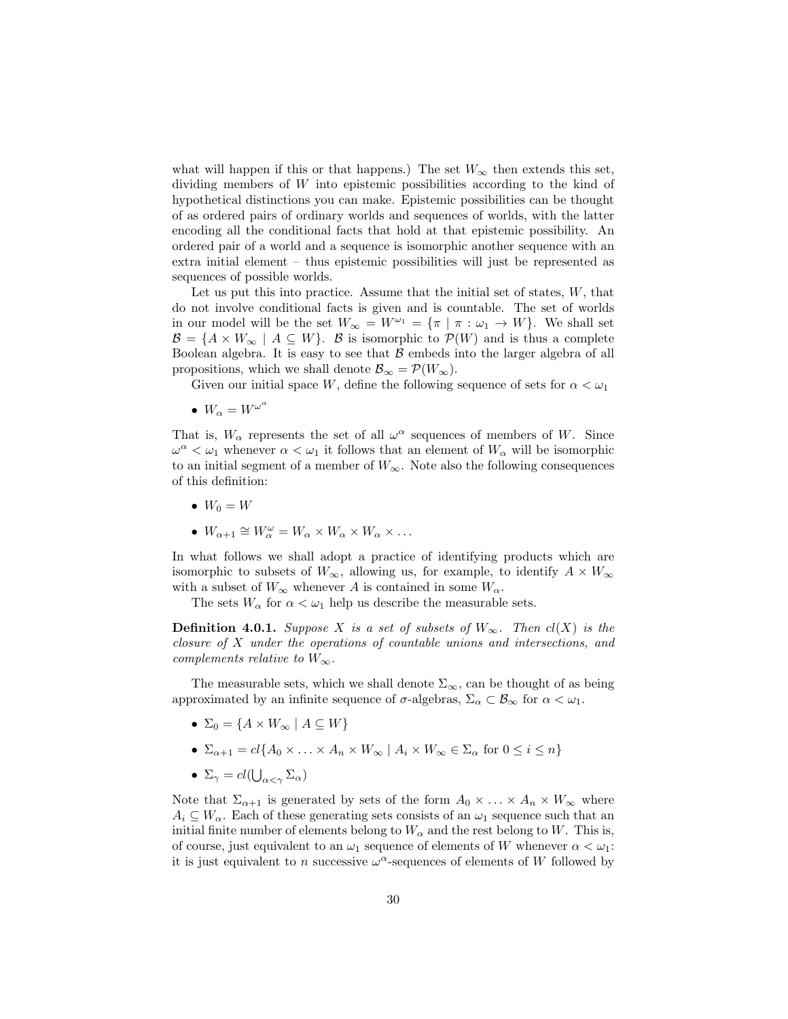what will happen if this or that happens.) The set  $W_{\infty}$  then extends this set, dividing members of W into epistemic possibilities according to the kind of hypothetical distinctions you can make. Epistemic possibilities can be thought of as ordered pairs of ordinary worlds and sequences of worlds, with the latter encoding all the conditional facts that hold at that epistemic possibility. An ordered pair of a world and a sequence is isomorphic another sequence with an extra initial element – thus epistemic possibilities will just be represented as sequences of possible worlds.

Let us put this into practice. Assume that the initial set of states,  $W$ , that do not involve conditional facts is given and is countable. The set of worlds in our model will be the set  $W_{\infty} = W^{\omega_1} = {\pi \mid \pi : \omega_1 \to W}$ . We shall set  $\mathcal{B} = \{A \times W_{\infty} \mid A \subseteq W\}.$  B is isomorphic to  $\mathcal{P}(W)$  and is thus a complete Boolean algebra. It is easy to see that  $\beta$  embeds into the larger algebra of all propositions, which we shall denote  $\mathcal{B}_{\infty} = \mathcal{P}(W_{\infty})$ .

Given our initial space W, define the following sequence of sets for  $\alpha < \omega_1$ 

•  $W_{\alpha} = W^{\omega^{\alpha}}$ 

That is,  $W_{\alpha}$  represents the set of all  $\omega^{\alpha}$  sequences of members of W. Since  $\omega^{\alpha} < \omega_1$  whenever  $\alpha < \omega_1$  it follows that an element of  $W_{\alpha}$  will be isomorphic to an initial segment of a member of  $W_{\infty}$ . Note also the following consequences of this definition:

- $W_0 = W$
- $W_{\alpha+1} \cong W_{\alpha}^{\omega} = W_{\alpha} \times W_{\alpha} \times W_{\alpha} \times \dots$

In what follows we shall adopt a practice of identifying products which are isomorphic to subsets of  $W_{\infty}$ , allowing us, for example, to identify  $A \times W_{\infty}$ with a subset of  $W_{\infty}$  whenever A is contained in some  $W_{\alpha}$ .

The sets  $W_{\alpha}$  for  $\alpha < \omega_1$  help us describe the measurable sets.

**Definition 4.0.1.** Suppose X is a set of subsets of  $W_{\infty}$ . Then  $cl(X)$  is the  $closure of X under the operations of countable unions and intersections, and$ complements relative to  $W_{\infty}$ .

The measurable sets, which we shall denote  $\Sigma_{\infty}$ , can be thought of as being approximated by an infinite sequence of  $\sigma$ -algebras,  $\Sigma_{\alpha} \subset \mathcal{B}_{\infty}$  for  $\alpha < \omega_1$ .

- $\Sigma_0 = \{A \times W_\infty \mid A \subseteq W\}$
- $\Sigma_{\alpha+1} = cl\{A_0 \times \ldots \times A_n \times W_\infty \mid A_i \times W_\infty \in \Sigma_\alpha \text{ for } 0 \leq i \leq n\}$
- $\Sigma_{\gamma} = cl(\bigcup_{\alpha < \gamma} \Sigma_{\alpha})$

Note that  $\Sigma_{\alpha+1}$  is generated by sets of the form  $A_0 \times \ldots \times A_n \times W_\infty$  where  $A_i \subseteq W_\alpha$ . Each of these generating sets consists of an  $\omega_1$  sequence such that an initial finite number of elements belong to  $W_{\alpha}$  and the rest belong to W. This is, of course, just equivalent to an  $\omega_1$  sequence of elements of W whenever  $\alpha < \omega_1$ : it is just equivalent to n successive  $\omega^{\alpha}$ -sequences of elements of W followed by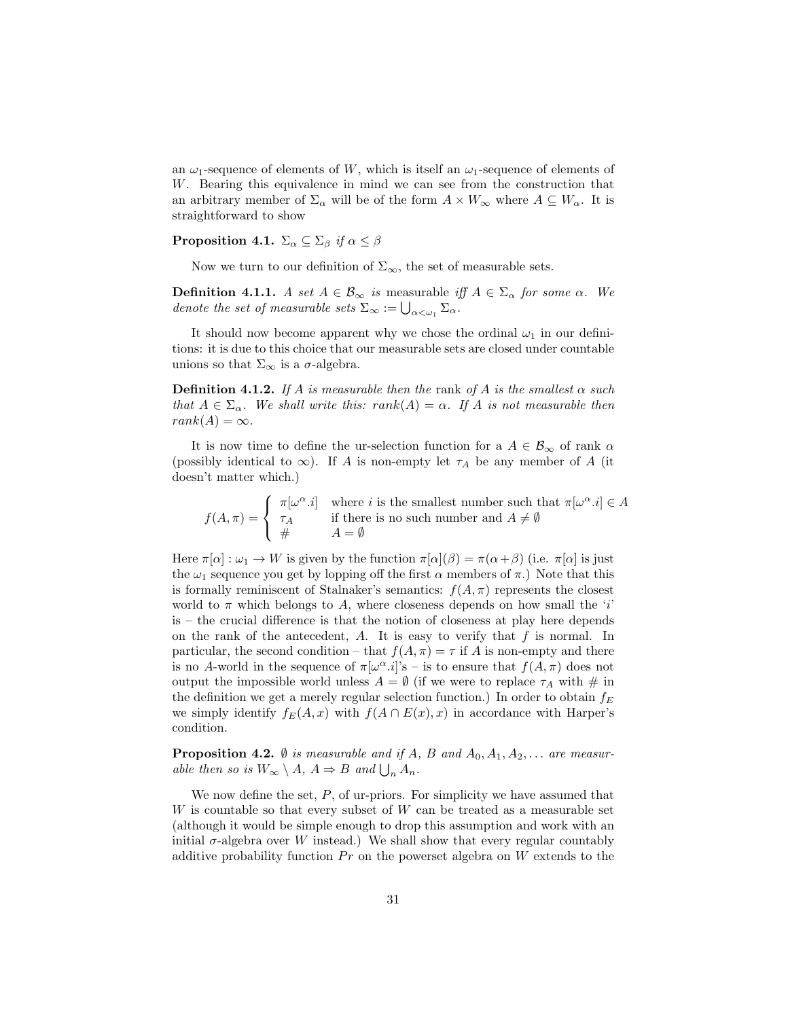an  $\omega_1$ -sequence of elements of W, which is itself an  $\omega_1$ -sequence of elements of W. Bearing this equivalence in mind we can see from the construction that an arbitrary member of  $\Sigma_{\alpha}$  will be of the form  $A \times W_{\infty}$  where  $A \subseteq W_{\alpha}$ . It is straightforward to show

**Proposition 4.1.**  $\Sigma_{\alpha} \subseteq \Sigma_{\beta}$  if  $\alpha \leq \beta$ 

Now we turn to our definition of  $\Sigma_{\infty}$ , the set of measurable sets.

**Definition 4.1.1.** A set  $A \in \mathcal{B}_{\infty}$  is measurable iff  $A \in \Sigma_{\alpha}$  for some  $\alpha$ . We denote the set of measurable sets  $\Sigma_{\infty} := \bigcup_{\alpha < \omega_1} \Sigma_{\alpha}$ .

It should now become apparent why we chose the ordinal  $\omega_1$  in our definitions: it is due to this choice that our measurable sets are closed under countable unions so that  $\Sigma_{\infty}$  is a  $\sigma\text{-algebra.}$ 

**Definition 4.1.2.** If A is measurable then the rank of A is the smallest  $\alpha$  such that  $A \in \Sigma_{\alpha}$ . We shall write this: rank $(A) = \alpha$ . If A is not measurable then  $rank(A) = \infty$ .

It is now time to define the ur-selection function for a  $A \in \mathcal{B}_{\infty}$  of rank  $\alpha$ (possibly identical to  $\infty$ ). If A is non-empty let  $\tau_A$  be any member of A (it doesn't matter which.)

$$
f(A,\pi) = \begin{cases} \pi[\omega^{\alpha}.i] & \text{where } i \text{ is the smallest number such that } \pi[\omega^{\alpha}.i] \in A \\ \pi_A & \text{if there is no such number and } A \neq \emptyset \\ \# & A = \emptyset \end{cases}
$$

Here  $\pi[\alpha]: \omega_1 \to W$  is given by the function  $\pi[\alpha](\beta) = \pi(\alpha + \beta)$  (i.e.  $\pi[\alpha]$  is just the  $\omega_1$  sequence you get by lopping off the first  $\alpha$  members of  $\pi$ .) Note that this is formally reminiscent of Stalnaker's semantics:  $f(A, \pi)$  represents the closest world to  $\pi$  which belongs to A, where closeness depends on how small the 'i' is – the crucial difference is that the notion of closeness at play here depends on the rank of the antecedent,  $A$ . It is easy to verify that  $f$  is normal. In particular, the second condition – that  $f(A, \pi) = \tau$  if A is non-empty and there is no A-world in the sequence of  $\pi[\omega^{\alpha}.i]$ 's – is to ensure that  $f(A,\pi)$  does not output the impossible world unless  $A = \emptyset$  (if we were to replace  $\tau_A$  with  $\#$  in the definition we get a merely regular selection function.) In order to obtain  $f_E$ we simply identify  $f_E(A, x)$  with  $f(A \cap E(x), x)$  in accordance with Harper's condition.

**Proposition 4.2.**  $\emptyset$  is measurable and if A, B and  $A_0, A_1, A_2, \ldots$  are measurable then so is  $W_{\infty} \setminus A$ ,  $A \Rightarrow B$  and  $\bigcup_n A_n$ .

We now define the set,  $P$ , of ur-priors. For simplicity we have assumed that  $W$  is countable so that every subset of  $W$  can be treated as a measurable set (although it would be simple enough to drop this assumption and work with an initial  $\sigma$ -algebra over W instead.) We shall show that every regular countably additive probability function  $Pr$  on the powerset algebra on  $W$  extends to the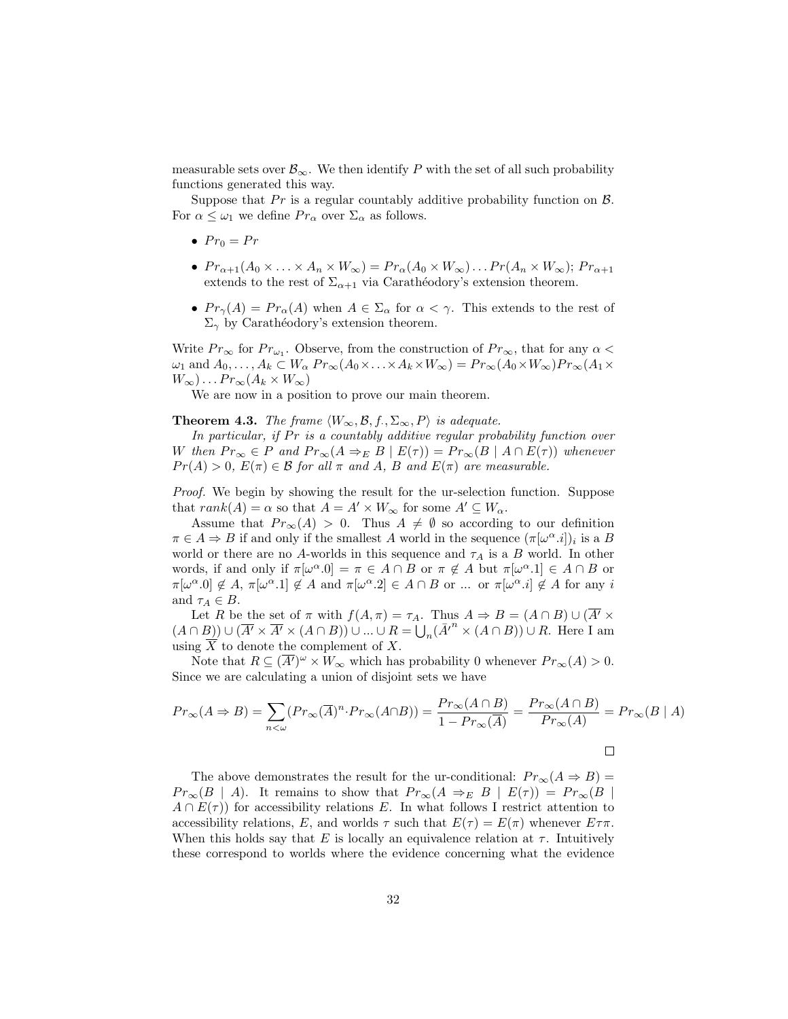measurable sets over  $\mathcal{B}_{\infty}$ . We then identify P with the set of all such probability functions generated this way.

Suppose that Pr is a regular countably additive probability function on  $\mathcal{B}$ . For  $\alpha \leq \omega_1$  we define  $Pr_{\alpha}$  over  $\Sigma_{\alpha}$  as follows.

- $Pr_0 = Pr$
- $Pr_{\alpha+1}(A_0 \times \ldots \times A_n \times W_\infty) = Pr_\alpha(A_0 \times W_\infty) \ldots Pr(A_n \times W_\infty); Pr_{\alpha+1}$ extends to the rest of  $\Sigma_{\alpha+1}$  via Carathéodory's extension theorem.
- $Pr_{\gamma}(A) = Pr_{\alpha}(A)$  when  $A \in \Sigma_{\alpha}$  for  $\alpha < \gamma$ . This extends to the rest of  $\Sigma<sub>γ</sub>$  by Carathéodory's extension theorem.

Write  $Pr_{\infty}$  for  $Pr_{\omega_1}$ . Observe, from the construction of  $Pr_{\infty}$ , that for any  $\alpha$  <  $\omega_1$  and  $A_0, \ldots, A_k \subset W_\alpha$   $Pr_{\infty}(A_0 \times \ldots \times A_k \times W_\infty) = Pr_{\infty}(A_0 \times W_\infty) Pr_{\infty}(A_1 \times$  $W_{\infty}) \dots Pr_{\infty}(A_k \times W_{\infty})$ 

We are now in a position to prove our main theorem.

#### **Theorem 4.3.** The frame  $\langle W_{\infty}, \mathcal{B}, f_{\cdot}, \Sigma_{\infty}, P \rangle$  is adequate.

In particular, if  $Pr$  is a countably additive regular probability function over W then  $Pr_{\infty} \in P$  and  $Pr_{\infty}(A \Rightarrow_E B \mid E(\tau)) = Pr_{\infty}(B \mid A \cap E(\tau))$  whenever  $Pr(A) > 0$ ,  $E(\pi) \in \mathcal{B}$  for all  $\pi$  and  $A$ ,  $B$  and  $E(\pi)$  are measurable.

Proof. We begin by showing the result for the ur-selection function. Suppose that  $rank(A) = \alpha$  so that  $A = A' \times W_{\infty}$  for some  $A' \subseteq W_{\alpha}$ .

Assume that  $Pr_{\infty}(A) > 0$ . Thus  $A \neq \emptyset$  so according to our definition  $\pi \in A \Rightarrow B$  if and only if the smallest A world in the sequence  $(\pi[\omega^{\alpha} \cdot i])_i$  is a B world or there are no A-worlds in this sequence and  $\tau_A$  is a B world. In other words, if and only if  $\pi[\omega^{\alpha}.0] = \pi \in A \cap B$  or  $\pi \notin A$  but  $\pi[\omega^{\alpha}.1] \in A \cap B$  or  $\pi[\omega^{\alpha}.0] \notin A$ ,  $\pi[\omega^{\alpha}.1] \notin A$  and  $\pi[\omega^{\alpha}.2] \in A \cap B$  or ... or  $\pi[\omega^{\alpha}.i] \notin A$  for any i and  $\tau_A \in B$ .

Let R be the set of  $\pi$  with  $f(A, \pi) = \tau_A$ . Thus  $A \Rightarrow B = (A \cap B) \cup (\overline{A'} \times$  $(A \cap B) \cup (\overline{A'} \times \overline{A'} \times (A \cap B)) \cup ... \cup R = \bigcup_n (\overline{A'}^n \times (A \cap B)) \cup R$ . Here I am using  $\overline{X}$  to denote the complement of X.

Note that  $R \subseteq (\overline{A'})^{\omega} \times W_{\infty}$  which has probability 0 whenever  $Pr_{\infty}(A) > 0$ . Since we are calculating a union of disjoint sets we have

$$
Pr_{\infty}(A \Rightarrow B) = \sum_{n < \omega} (Pr_{\infty}(\overline{A})^n \cdot Pr_{\infty}(A \cap B)) = \frac{Pr_{\infty}(A \cap B)}{1 - Pr_{\infty}(\overline{A})} = \frac{Pr_{\infty}(A \cap B)}{Pr_{\infty}(A)} = Pr_{\infty}(B \mid A)
$$

The above demonstrates the result for the ur-conditional:  $Pr_{\infty}(A \Rightarrow B)$  =  $Pr_{\infty}(B \mid A)$ . It remains to show that  $Pr_{\infty}(A \Rightarrow_E B \mid E(\tau)) = Pr_{\infty}(B \mid$  $A \cap E(\tau)$  for accessibility relations E. In what follows I restrict attention to accessibility relations, E, and worlds  $\tau$  such that  $E(\tau) = E(\pi)$  whenever  $E \tau \pi$ . When this holds say that E is locally an equivalence relation at  $\tau$ . Intuitively these correspond to worlds where the evidence concerning what the evidence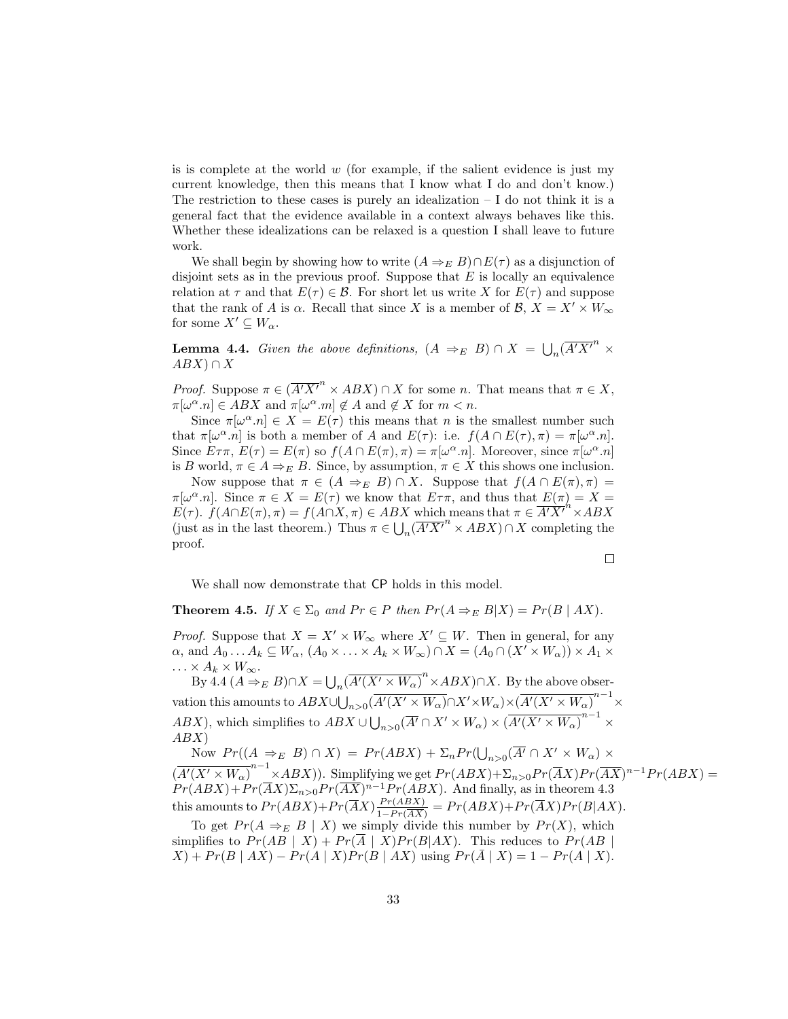is is complete at the world  $w$  (for example, if the salient evidence is just my current knowledge, then this means that I know what I do and don't know.) The restriction to these cases is purely an idealization  $-1$  do not think it is a general fact that the evidence available in a context always behaves like this. Whether these idealizations can be relaxed is a question I shall leave to future work.

We shall begin by showing how to write  $(A \Rightarrow_E B) \cap E(\tau)$  as a disjunction of disjoint sets as in the previous proof. Suppose that  $E$  is locally an equivalence relation at  $\tau$  and that  $E(\tau) \in \mathcal{B}$ . For short let us write X for  $E(\tau)$  and suppose that the rank of A is  $\alpha$ . Recall that since X is a member of B,  $X = X' \times W_{\infty}$ for some  $X' \subseteq W_\alpha$ .

**Lemma 4.4.** Given the above definitions,  $(A \Rightarrow_E B) \cap X = \bigcup_n (\overline{A'X'}^n \times$  $ABX$ ) ∩  $X$ 

*Proof.* Suppose  $\pi \in (\overline{A'X'}^n \times ABX) \cap X$  for some n. That means that  $\pi \in X$ ,  $\pi[\omega^{\alpha}.n] \in ABX$  and  $\pi[\omega^{\alpha}.m] \notin A$  and  $\notin X$  for  $m < n$ .

Since  $\pi[\omega^{\alpha}.n] \in X = E(\tau)$  this means that n is the smallest number such that  $\pi[\omega^{\alpha}.n]$  is both a member of A and  $E(\tau)$ : i.e.  $f(A \cap E(\tau), \pi) = \pi[\omega^{\alpha}.n]$ . Since  $E\tau\pi$ ,  $E(\tau) = E(\pi)$  so  $f(A \cap E(\pi), \pi) = \pi[\omega^{\alpha} \cdot n]$ . Moreover, since  $\pi[\omega^{\alpha} \cdot n]$ is B world,  $\pi \in A \Rightarrow_E B$ . Since, by assumption,  $\pi \in X$  this shows one inclusion.

Now suppose that  $\pi \in (A \Rightarrow_E B) \cap X$ . Suppose that  $f(A \cap E(\pi), \pi) =$  $\pi[\omega^{\alpha}.n]$ . Since  $\pi \in X = E(\tau)$  we know that  $E(\tau)$ , and thus that  $E(\pi) = X =$  $E(\tau)$ .  $f(A \cap E(\pi), \pi) = f(A \cap X, \pi) \in ABX$  which means that  $\pi \in \overline{A'X'}^h \times ABX$ (just as in the last theorem.) Thus  $\pi \in \bigcup_n (\overline{A'X'}^n \times ABX) \cap X$  completing the proof.

 $\Box$ 

We shall now demonstrate that CP holds in this model.

**Theorem 4.5.** If  $X \in \Sigma_0$  and  $Pr \in P$  then  $Pr(A \Rightarrow_E B | X) = Pr(B | AX)$ .

*Proof.* Suppose that  $X = X' \times W_{\infty}$  where  $X' \subseteq W$ . Then in general, for any  $\alpha$ , and  $A_0 \dots A_k \subseteq W_\alpha$ ,  $(A_0 \times \dots \times A_k \times W_\infty) \cap X = (A_0 \cap (X' \times W_\alpha)) \times A_1 \times$  $\ldots \times A_k \times W_{\infty}.$ 

By 4.4  $(A \Rightarrow_E B) \cap X = \bigcup_n (\overline{A'(X' \times W_\alpha)}^n \times ABX) \cap X$ . By the above observation this amounts to  $ABX \cup \bigcup_{n>0} \overline{(A'(X' \times W_\alpha)} \cap X' \times W_\alpha) \times \overline{(A'(X' \times W_\alpha)}^{n-1} \times$  $ABX$ ), which simplifies to  $ABX \cup \bigcup_{n>0} (\overline{A'} \cap X' \times W_\alpha) \times (\overline{A'(X' \times W_\alpha)}^{n-1} \times$  $ABX$ 

Now  $Pr((A \Rightarrow_E B) \cap X) = Pr(ABX) + \sum_n Pr(\bigcup_{n>0} \left(\overline{A'} \cap X' \times W_\alpha\right) \times$  $(\overline{A'(X' \times W_{\alpha})}^{n-1} \times ABX)$ . Simplifying we get  $Pr(ABX) + \sum_{n>0} Pr(\overline{AX}) Pr(\overline{AX})^{n-1} Pr(ABX) =$  $Pr(ABX) + Pr(\overline{A}X)\Sigma_{n>0}Pr(\overline{AX})^{n-1}Pr(ABX)$ . And finally, as in theorem 4.3 this amounts to  $Pr(ABX) + Pr(\overline{A}X) \frac{Pr(ABX)}{1 - Pr(\overline{A}X)}$  $\frac{Pr(ABX)}{1-Pr(\overline{AX})}=Pr(ABX)+Pr(\overline{AX})Pr(B|AX).$ 

To get  $Pr(A \Rightarrow_E B \mid X)$  we simply divide this number by  $Pr(X)$ , which simplifies to  $Pr(AB | X) + Pr(\overline{A} | X)Pr(B|AX)$ . This reduces to  $Pr(AB | X)$  $X$ ) +  $Pr(B | AX) - Pr(A | X)Pr(B | AX)$  using  $Pr(\overline{A} | X) = 1 - Pr(A | X)$ .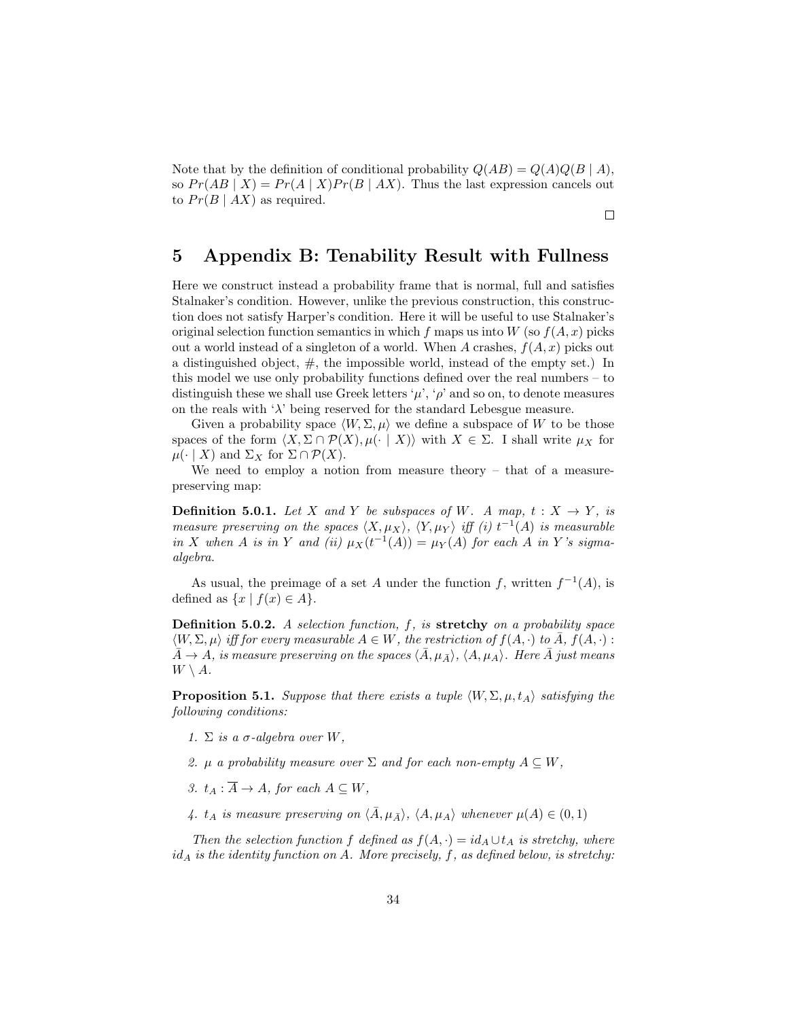Note that by the definition of conditional probability  $Q(AB) = Q(A)Q(B \mid A)$ , so  $Pr(AB | X) = Pr(A | X)Pr(B | AX)$ . Thus the last expression cancels out to  $Pr(B | AX)$  as required.

 $\Box$ 

## 5 Appendix B: Tenability Result with Fullness

Here we construct instead a probability frame that is normal, full and satisfies Stalnaker's condition. However, unlike the previous construction, this construction does not satisfy Harper's condition. Here it will be useful to use Stalnaker's original selection function semantics in which f maps us into W (so  $f(A, x)$  picks out a world instead of a singleton of a world. When A crashes,  $f(A, x)$  picks out a distinguished object,  $\#$ , the impossible world, instead of the empty set.) In this model we use only probability functions defined over the real numbers – to distinguish these we shall use Greek letters ' $\mu$ ', ' $\rho$ ' and so on, to denote measures on the reals with ' $\lambda$ ' being reserved for the standard Lebesgue measure.

Given a probability space  $\langle W, \Sigma, \mu \rangle$  we define a subspace of W to be those spaces of the form  $\langle X, \Sigma \cap \mathcal{P}(X), \mu(\cdot | X) \rangle$  with  $X \in \Sigma$ . I shall write  $\mu_X$  for  $\mu(\cdot | X)$  and  $\Sigma_X$  for  $\Sigma \cap \mathcal{P}(X)$ .

We need to employ a notion from measure theory  $-$  that of a measurepreserving map:

**Definition 5.0.1.** Let X and Y be subspaces of W. A map,  $t : X \rightarrow Y$ , is measure preserving on the spaces  $\langle X, \mu_X \rangle$ ,  $\langle Y, \mu_Y \rangle$  iff (i)  $t^{-1}(A)$  is measurable in X when A is in Y and (ii)  $\mu_X(t^{-1}(A)) = \mu_Y(A)$  for each A in Y's sigmaalgebra.

As usual, the preimage of a set A under the function f, written  $f^{-1}(A)$ , is defined as  $\{x \mid f(x) \in A\}.$ 

**Definition 5.0.2.** A selection function, f, is stretchy on a probability space  $\langle W, \Sigma, \mu \rangle$  iff for every measurable  $A \in W$ , the restriction of  $f(A, \cdot)$  to  $\overline{A}$ ,  $f(A, \cdot)$ :  $\bar{A}\to A,$  is measure preserving on the spaces  $\langle\bar{A},\mu_{\bar{A}}\rangle,$   $\langle A,\mu_{\bar{A}}\rangle$ . Here  $\bar{A}$  just means  $W \setminus A$ .

**Proposition 5.1.** Suppose that there exists a tuple  $\langle W, \Sigma, \mu, t_A \rangle$  satisfying the following conditions:

- 1.  $\Sigma$  is a  $\sigma$ -algebra over W,
- 2.  $\mu$  a probability measure over  $\Sigma$  and for each non-empty  $A \subseteq W$ ,
- 3.  $t_A : \overline{A} \to A$ , for each  $A \subseteq W$ ,
- 4.  $t_A$  is measure preserving on  $\langle \overline{A}, \mu_{\overline{A}} \rangle$ ,  $\langle A, \mu_A \rangle$  whenever  $\mu(A) \in (0, 1)$

Then the selection function f defined as  $f(A, \cdot) = id_A \cup t_A$  is stretchy, where  $id_A$  is the identity function on A. More precisely, f, as defined below, is stretchy: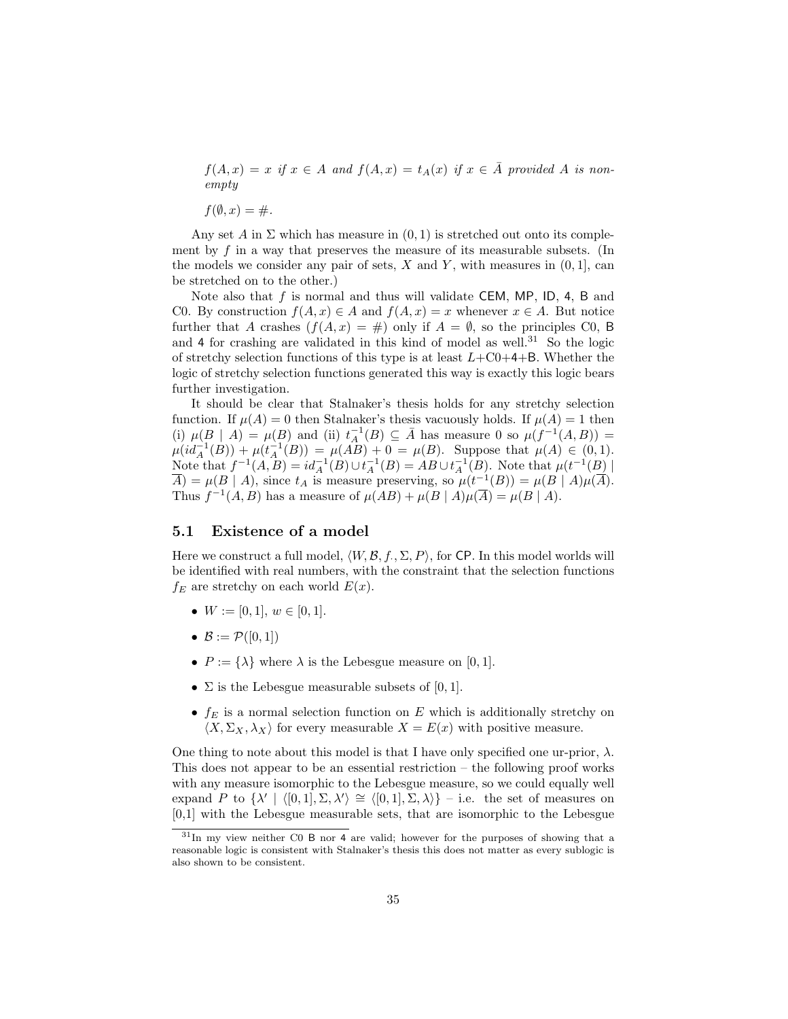$f(A, x) = x$  if  $x \in A$  and  $f(A, x) = t_A(x)$  if  $x \in \overline{A}$  provided A is nonempty

 $f(\emptyset, x) = \#$ .

Any set A in  $\Sigma$  which has measure in  $(0, 1)$  is stretched out onto its complement by  $f$  in a way that preserves the measure of its measurable subsets. (In the models we consider any pair of sets,  $X$  and  $Y$ , with measures in  $(0, 1]$ , can be stretched on to the other.)

Note also that  $f$  is normal and thus will validate CEM, MP, ID, 4, B and C0. By construction  $f(A, x) \in A$  and  $f(A, x) = x$  whenever  $x \in A$ . But notice further that A crashes  $(f(A, x) = #)$  only if  $A = \emptyset$ , so the principles C0, B and 4 for crashing are validated in this kind of model as well.<sup>31</sup> So the logic of stretchy selection functions of this type is at least  $L+C0+4+B$ . Whether the logic of stretchy selection functions generated this way is exactly this logic bears further investigation.

It should be clear that Stalnaker's thesis holds for any stretchy selection function. If  $\mu(A) = 0$  then Stalnaker's thesis vacuously holds. If  $\mu(A) = 1$  then (i)  $\mu(B \mid A) = \mu(B)$  and (ii)  $t_A^{-1}(B) \subseteq \overline{A}$  has measure 0 so  $\mu(f^{-1}(A, B)) =$  $\mu(id_A^{-1}(B)) + \mu(t_A^{-1}(B)) = \mu(AB) + 0 = \mu(B)$ . Suppose that  $\mu(A) \in (0,1)$ . Note that  $f^{-1}(A, B) = id_A^{-1}(B) \cup t_A^{-1}(B) = AB \cup t_A^{-1}(B)$ . Note that  $\mu(t^{-1}(B))$  $\overline{A}$  =  $\mu(B \mid A)$ , since  $t_A$  is measure preserving, so  $\mu(t^{-1}(B)) = \mu(B \mid A)\mu(\overline{A})$ . Thus  $f^{-1}(A, B)$  has a measure of  $\mu(AB) + \mu(B \mid A)\mu(\overline{A}) = \mu(B \mid A)$ .

### 5.1 Existence of a model

Here we construct a full model,  $\langle W, \mathcal{B}, f_., \Sigma, P \rangle$ , for CP. In this model worlds will be identified with real numbers, with the constraint that the selection functions  $f_E$  are stretchy on each world  $E(x)$ .

- $W := [0, 1], w \in [0, 1].$
- $\mathcal{B} := \mathcal{P}([0,1])$
- $P := {\lambda}$  where  $\lambda$  is the Lebesgue measure on [0, 1].
- $\Sigma$  is the Lebesgue measurable subsets of [0, 1].
- $f_E$  is a normal selection function on E which is additionally stretchy on  $\langle X, \Sigma_X, \lambda_X \rangle$  for every measurable  $X = E(x)$  with positive measure.

One thing to note about this model is that I have only specified one ur-prior,  $\lambda$ . This does not appear to be an essential restriction – the following proof works with any measure isomorphic to the Lebesgue measure, so we could equally well expand P to  $\{\lambda' \mid \langle [0,1], \Sigma, \lambda' \rangle \cong \langle [0,1], \Sigma, \lambda \rangle\}$  – i.e. the set of measures on [0,1] with the Lebesgue measurable sets, that are isomorphic to the Lebesgue

 $31$ In my view neither C0 B nor 4 are valid; however for the purposes of showing that a reasonable logic is consistent with Stalnaker's thesis this does not matter as every sublogic is also shown to be consistent.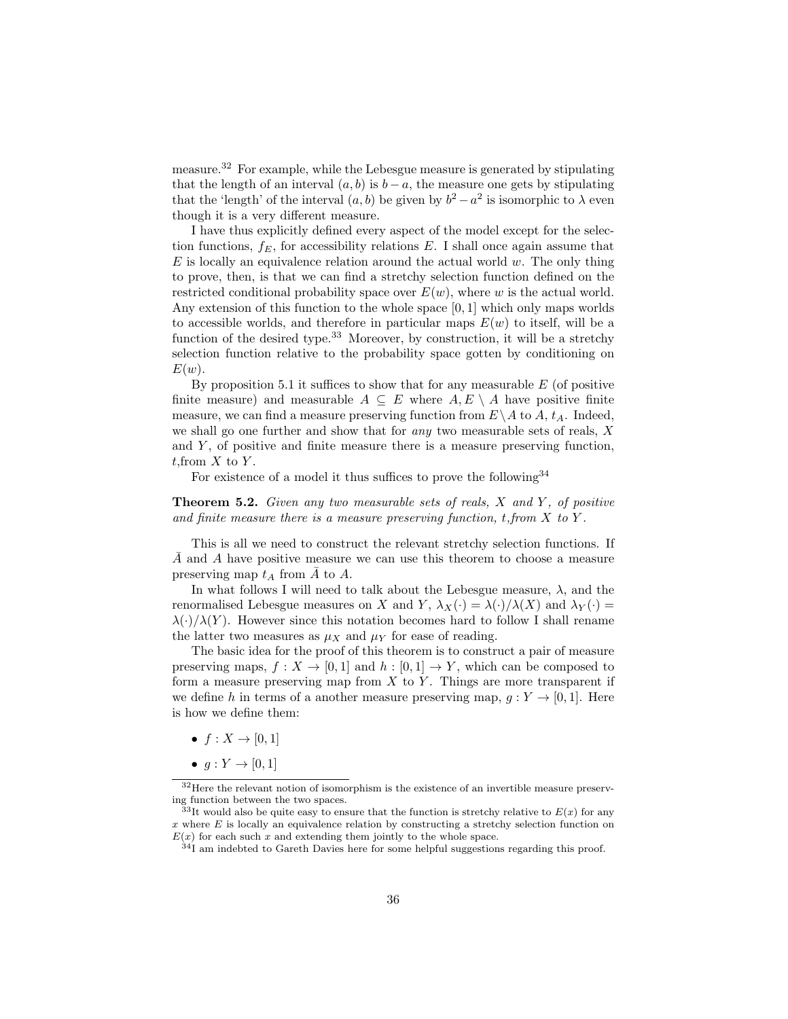measure.<sup>32</sup> For example, while the Lebesgue measure is generated by stipulating that the length of an interval  $(a, b)$  is  $b - a$ , the measure one gets by stipulating that the 'length' of the interval  $(a, b)$  be given by  $b^2 - a^2$  is isomorphic to  $\lambda$  even though it is a very different measure.

I have thus explicitly defined every aspect of the model except for the selection functions,  $f_E$ , for accessibility relations E. I shall once again assume that  $E$  is locally an equivalence relation around the actual world  $w$ . The only thing to prove, then, is that we can find a stretchy selection function defined on the restricted conditional probability space over  $E(w)$ , where w is the actual world. Any extension of this function to the whole space [0, 1] which only maps worlds to accessible worlds, and therefore in particular maps  $E(w)$  to itself, will be a function of the desired type. $33$  Moreover, by construction, it will be a stretchy selection function relative to the probability space gotten by conditioning on  $E(w)$ .

By proposition 5.1 it suffices to show that for any measurable  $E$  (of positive finite measure) and measurable  $A \subseteq E$  where  $A, E \setminus A$  have positive finite measure, we can find a measure preserving function from  $E \setminus A$  to  $A$ ,  $t_A$ . Indeed, we shall go one further and show that for *any* two measurable sets of reals,  $X$ and  $Y$ , of positive and finite measure there is a measure preserving function, t, from  $X$  to  $Y$ .

For existence of a model it thus suffices to prove the following  $34$ 

**Theorem 5.2.** Given any two measurable sets of reals,  $X$  and  $Y$ , of positive and finite measure there is a measure preserving function,  $t$ , from  $X$  to  $Y$ .

This is all we need to construct the relevant stretchy selection functions. If A and A have positive measure we can use this theorem to choose a measure preserving map  $t_A$  from  $\overline{A}$  to  $A$ .

In what follows I will need to talk about the Lebesgue measure,  $\lambda$ , and the renormalised Lebesgue measures on X and Y,  $\lambda_X(\cdot) = \lambda(\cdot)/\lambda(X)$  and  $\lambda_Y(\cdot) =$  $\lambda(\cdot)/\lambda(Y)$ . However since this notation becomes hard to follow I shall rename the latter two measures as  $\mu_X$  and  $\mu_Y$  for ease of reading.

The basic idea for the proof of this theorem is to construct a pair of measure preserving maps,  $f: X \to [0, 1]$  and  $h: [0, 1] \to Y$ , which can be composed to form a measure preserving map from  $X$  to  $Y$ . Things are more transparent if we define h in terms of a another measure preserving map,  $g: Y \to [0,1]$ . Here is how we define them:

- $f: X \rightarrow [0, 1]$
- $g: Y \to [0,1]$

<sup>32</sup>Here the relevant notion of isomorphism is the existence of an invertible measure preserving function between the two spaces.

 $33$ It would also be quite easy to ensure that the function is stretchy relative to  $E(x)$  for any  $x$  where  $E$  is locally an equivalence relation by constructing a stretchy selection function on  $E(x)$  for each such x and extending them jointly to the whole space.

 $34$ I am indebted to Gareth Davies here for some helpful suggestions regarding this proof.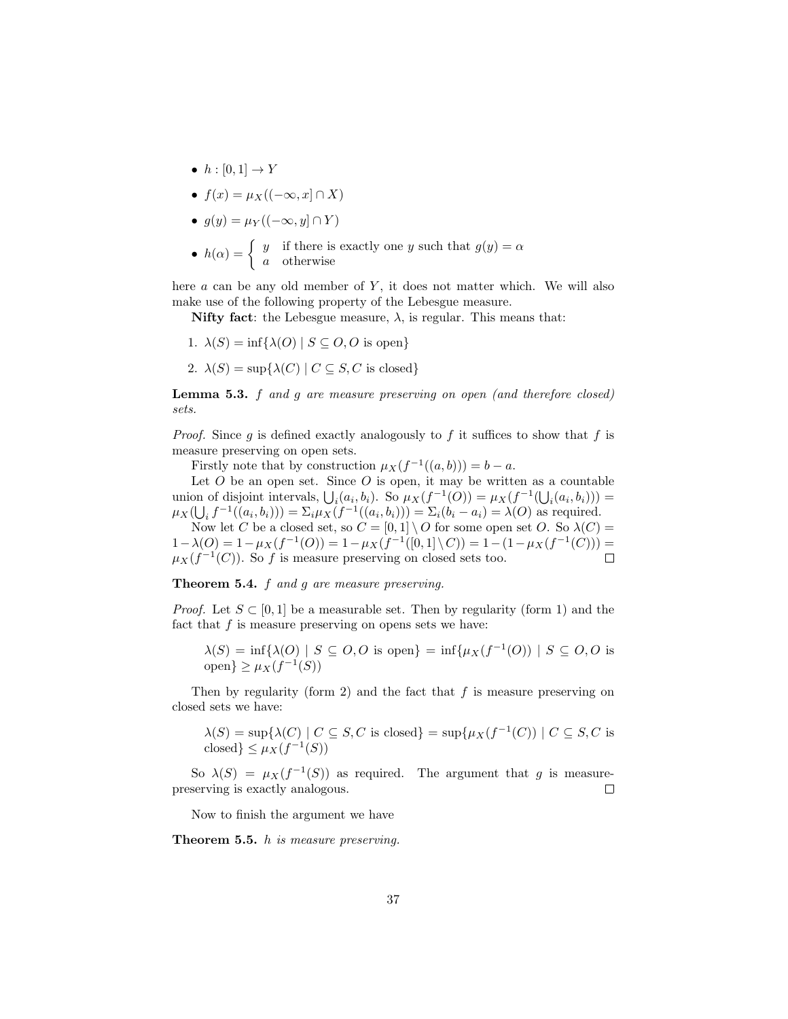- $h : [0,1] \rightarrow Y$
- $f(x) = \mu_X((-\infty, x] \cap X)$
- $q(y) = \mu_Y((-\infty, y] \cap Y)$
- $h(\alpha) = \begin{cases} y & \text{if there is exactly one } y \text{ such that } g(y) = \alpha \\ z & \text{otherwise} \end{cases}$ a otherwise

here  $a$  can be any old member of  $Y$ , it does not matter which. We will also make use of the following property of the Lebesgue measure.

Nifty fact: the Lebesgue measure,  $\lambda$ , is regular. This means that:

- 1.  $\lambda(S) = \inf \{ \lambda(O) \mid S \subseteq O, O \text{ is open} \}$
- 2.  $\lambda(S) = \sup \{ \lambda(C) \mid C \subseteq S, C \text{ is closed} \}$

Lemma 5.3. f and g are measure preserving on open (and therefore closed) sets.

*Proof.* Since q is defined exactly analogously to f it suffices to show that f is measure preserving on open sets.

Firstly note that by construction  $\mu_X(f^{-1}((a, b))) = b - a$ .

Let  $O$  be an open set. Since  $O$  is open, it may be written as a countable union of disjoint intervals,  $\bigcup_i (a_i, b_i)$ . So  $\mu_X(f^{-1}(O)) = \mu_X(f^{-1}(\bigcup_i (a_i, b_i))) =$  $\mu_X(\bigcup_i f^{-1}((a_i, b_i))) = \sum_i \mu_X(f^{-1}((a_i, b_i))) = \sum_i (b_i - a_i) = \lambda(O)$  as required.

Now let C be a closed set, so  $C = [0,1] \setminus O$  for some open set O. So  $\lambda(C)$  =  $1 - \lambda(O) = 1 - \mu_X(f^{-1}(O)) = 1 - \mu_X(f^{-1}([0, 1] \setminus C)) = 1 - (1 - \mu_X(f^{-1}(C))) =$  $\mu_X(f^{-1}(C))$ . So f is measure preserving on closed sets too.  $\Box$ 

Theorem 5.4. f and q are measure preserving.

*Proof.* Let  $S \subset [0, 1]$  be a measurable set. Then by regularity (form 1) and the fact that  $f$  is measure preserving on opens sets we have:

 $\lambda(S) = \inf \{ \lambda(O) \mid S \subseteq O, O \text{ is open} \} = \inf \{ \mu_X(f^{-1}(O)) \mid S \subseteq O, O \text{ is} \}$  $open\} \geq \mu_X(f^{-1}(S))$ 

Then by regularity (form 2) and the fact that  $f$  is measure preserving on closed sets we have:

$$
\lambda(S) = \sup \{ \lambda(C) \mid C \subseteq S, C \text{ is closed} \} = \sup \{ \mu_X(f^{-1}(C)) \mid C \subseteq S, C \text{ is closed} \} \le \mu_X(f^{-1}(S))
$$

So  $\lambda(S) = \mu_X(f^{-1}(S))$  as required. The argument that g is measurepreserving is exactly analogous.  $\Box$ 

Now to finish the argument we have

**Theorem 5.5.**  $h$  is measure preserving.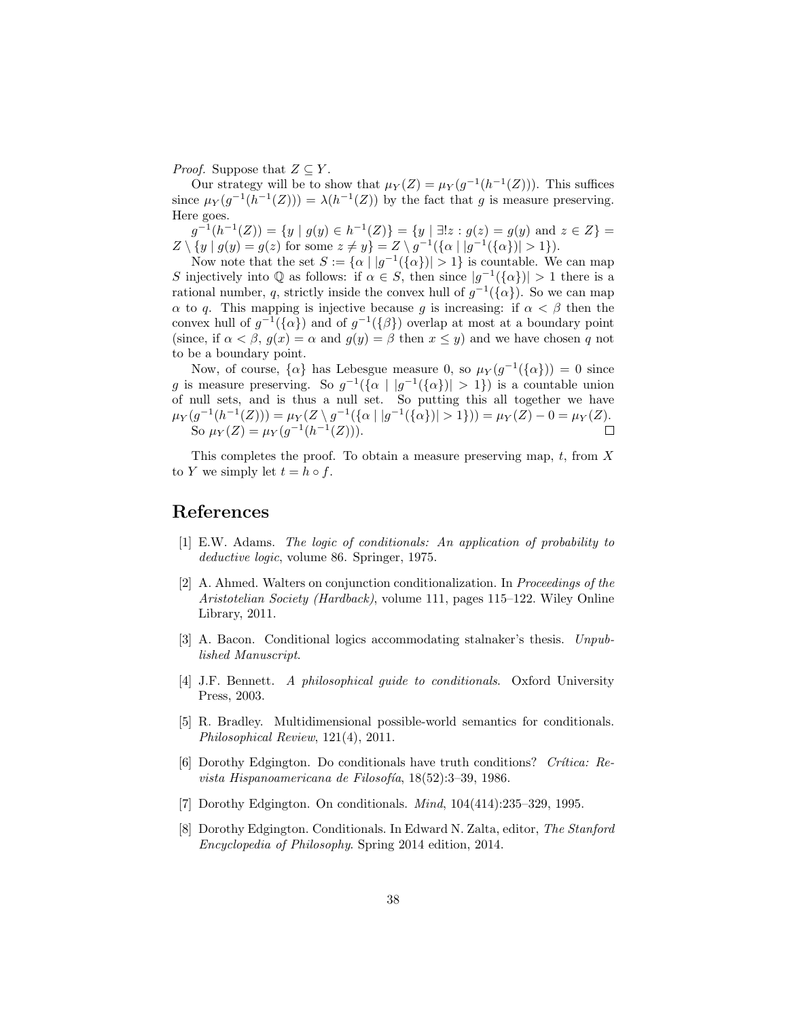*Proof.* Suppose that  $Z \subseteq Y$ .

Our strategy will be to show that  $\mu_Y(Z) = \mu_Y(g^{-1}(h^{-1}(Z)))$ . This suffices since  $\mu_Y(g^{-1}(h^{-1}(Z))) = \lambda(h^{-1}(Z))$  by the fact that g is measure preserving. Here goes.

 $g^{-1}(h^{-1}(Z)) = \{y \mid g(y) \in h^{-1}(Z)\} = \{y \mid \exists ! z : g(z) = g(y) \text{ and } z \in Z\}$  $Z \setminus \{y \mid g(y) = g(z) \text{ for some } z \neq y\} = Z \setminus g^{-1}(\{\alpha \mid |g^{-1}(\{\alpha\})| > 1\}).$ 

Now note that the set  $S := {\alpha | |g^{-1}(\{\alpha\})| > 1}$  is countable. We can map S injectively into Q as follows: if  $\alpha \in S$ , then since  $|g^{-1}(\{\alpha\})| > 1$  there is a rational number, q, strictly inside the convex hull of  $g^{-1}(\{\alpha\})$ . So we can map α to q. This mapping is injective because g is increasing: if  $\alpha < \beta$  then the convex hull of  $g^{-1}(\{\alpha\})$  and of  $g^{-1}(\{\beta\})$  overlap at most at a boundary point (since, if  $\alpha < \beta$ ,  $g(x) = \alpha$  and  $g(y) = \beta$  then  $x \leq y$ ) and we have chosen q not to be a boundary point.

Now, of course,  $\{\alpha\}$  has Lebesgue measure 0, so  $\mu_Y(g^{-1}(\{\alpha\})) = 0$  since g is measure preserving. So  $g^{-1}(\{\alpha \mid |g^{-1}(\{\alpha\})| > 1\})$  is a countable union of null sets, and is thus a null set. So putting this all together we have  $\mu_Y(g^{-1}(h^{-1}(Z))) = \mu_Y(Z \setminus g^{-1}(\{\alpha \mid |g^{-1}(\{\alpha\})| > 1\})) = \mu_Y(Z) - 0 = \mu_Y(Z).$ So  $\mu_Y(Z) = \mu_Y(g^{-1}(h^{-1}(Z))).$ 

This completes the proof. To obtain a measure preserving map,  $t$ , from  $X$ to Y we simply let  $t = h \circ f$ .

### References

- [1] E.W. Adams. The logic of conditionals: An application of probability to deductive logic, volume 86. Springer, 1975.
- [2] A. Ahmed. Walters on conjunction conditionalization. In Proceedings of the Aristotelian Society (Hardback), volume 111, pages 115–122. Wiley Online Library, 2011.
- [3] A. Bacon. Conditional logics accommodating stalnaker's thesis. Unpublished Manuscript.
- [4] J.F. Bennett. A philosophical guide to conditionals. Oxford University Press, 2003.
- [5] R. Bradley. Multidimensional possible-world semantics for conditionals. Philosophical Review, 121(4), 2011.
- [6] Dorothy Edgington. Do conditionals have truth conditions? Crítica: Revista Hispanoamericana de Filosofía, 18(52):3-39, 1986.
- [7] Dorothy Edgington. On conditionals. Mind, 104(414):235–329, 1995.
- [8] Dorothy Edgington. Conditionals. In Edward N. Zalta, editor, The Stanford Encyclopedia of Philosophy. Spring 2014 edition, 2014.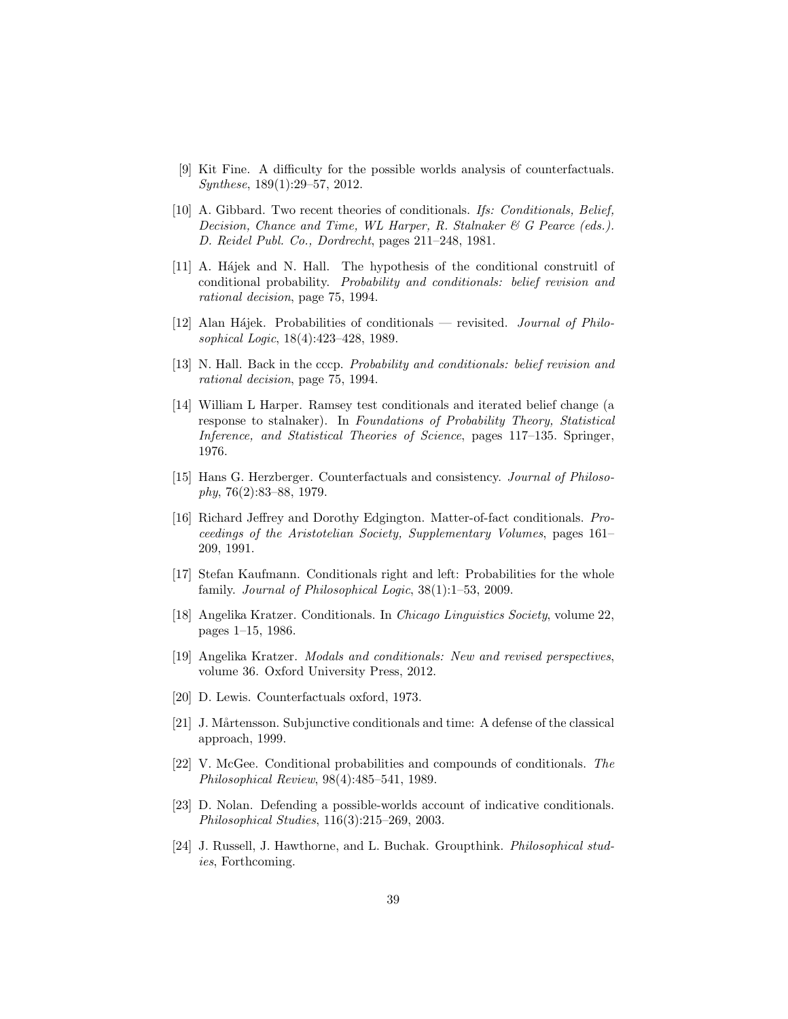- [9] Kit Fine. A difficulty for the possible worlds analysis of counterfactuals. Synthese, 189(1):29–57, 2012.
- [10] A. Gibbard. Two recent theories of conditionals. Ifs: Conditionals, Belief, Decision, Chance and Time, WL Harper, R. Stalnaker & G Pearce (eds.). D. Reidel Publ. Co., Dordrecht, pages 211–248, 1981.
- [11] A. Hájek and N. Hall. The hypothesis of the conditional construitl of conditional probability. Probability and conditionals: belief revision and rational decision, page 75, 1994.
- [12] Alan Hájek. Probabilities of conditionals revisited. Journal of Philosophical Logic, 18(4):423–428, 1989.
- [13] N. Hall. Back in the cccp. Probability and conditionals: belief revision and rational decision, page 75, 1994.
- [14] William L Harper. Ramsey test conditionals and iterated belief change (a response to stalnaker). In Foundations of Probability Theory, Statistical Inference, and Statistical Theories of Science, pages 117–135. Springer, 1976.
- [15] Hans G. Herzberger. Counterfactuals and consistency. Journal of Philosophy, 76(2):83–88, 1979.
- [16] Richard Jeffrey and Dorothy Edgington. Matter-of-fact conditionals. Proceedings of the Aristotelian Society, Supplementary Volumes, pages 161– 209, 1991.
- [17] Stefan Kaufmann. Conditionals right and left: Probabilities for the whole family. Journal of Philosophical Logic, 38(1):1–53, 2009.
- [18] Angelika Kratzer. Conditionals. In Chicago Linguistics Society, volume 22, pages 1–15, 1986.
- [19] Angelika Kratzer. Modals and conditionals: New and revised perspectives, volume 36. Oxford University Press, 2012.
- [20] D. Lewis. Counterfactuals oxford, 1973.
- [21] J. Mårtensson. Subjunctive conditionals and time: A defense of the classical approach, 1999.
- [22] V. McGee. Conditional probabilities and compounds of conditionals. The Philosophical Review, 98(4):485–541, 1989.
- [23] D. Nolan. Defending a possible-worlds account of indicative conditionals. Philosophical Studies, 116(3):215–269, 2003.
- [24] J. Russell, J. Hawthorne, and L. Buchak. Groupthink. Philosophical studies, Forthcoming.